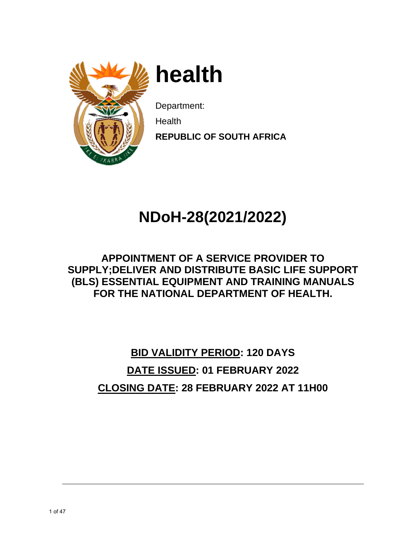

**h heal th** 

Department:

**N** Health

**REPUBLIC OF SOUTH AFRICA** 

# **NDo oH-28 8(2021 1/2022 2)**

# SUPPLY;DELIVER AND DISTRIBUTE BASIC LIFE SUPPORT **(BLS) ESSENTIAL EQUIPMENT AND TRAINING MANUALS APPOINTMENT OF A SERVICE PROVIDER TO** FOR THE NATIONAL DEPARTMENT OF HEALTH.

# **CLOSI ING DAT TE: 28 F FEBRUA ARY 2022 2 AT 11H H00 BID VA ALIDITY PERIOD D: 120 DA AYS DATE IS SSUED: 01 FEB RUARY 2022**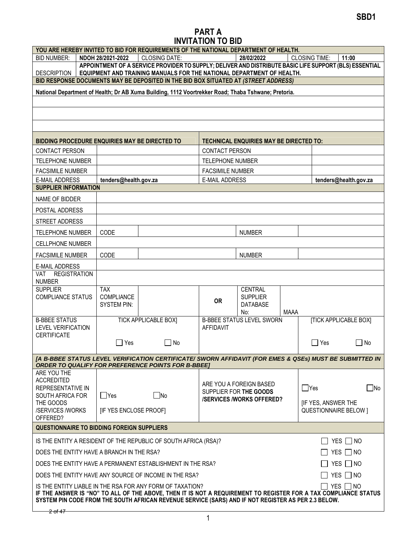## PART A INVITATION TO BID

|                                                                                                                                                                                                                                                                                                             | YOU ARE HEREBY INVITED TO BID FOR REQUIREMENTS OF THE NATIONAL DEPARTMENT OF HEALTH. |                                                                                                                                                                                 |                         |                                                |             |                              |                       |
|-------------------------------------------------------------------------------------------------------------------------------------------------------------------------------------------------------------------------------------------------------------------------------------------------------------|--------------------------------------------------------------------------------------|---------------------------------------------------------------------------------------------------------------------------------------------------------------------------------|-------------------------|------------------------------------------------|-------------|------------------------------|-----------------------|
| <b>BID NUMBER:</b>                                                                                                                                                                                                                                                                                          | NDOH 28/2021-2022                                                                    | <b>CLOSING DATE:</b>                                                                                                                                                            |                         | 28/02/2022                                     |             | <b>CLOSING TIME:</b>         | 11:00                 |
| <b>DESCRIPTION</b>                                                                                                                                                                                                                                                                                          |                                                                                      | APPOINTMENT OF A SERVICE PROVIDER TO SUPPLY; DELIVER AND DISTRIBUTE BASIC LIFE SUPPORT (BLS) ESSENTIAL<br>EQUIPMENT AND TRAINING MANUALS FOR THE NATIONAL DEPARTMENT OF HEALTH. |                         |                                                |             |                              |                       |
|                                                                                                                                                                                                                                                                                                             |                                                                                      | BID RESPONSE DOCUMENTS MAY BE DEPOSITED IN THE BID BOX SITUATED AT (STREET ADDRESS)                                                                                             |                         |                                                |             |                              |                       |
|                                                                                                                                                                                                                                                                                                             |                                                                                      | National Department of Health; Dr AB Xuma Building, 1112 Voortrekker Road; Thaba Tshwane; Pretoria.                                                                             |                         |                                                |             |                              |                       |
|                                                                                                                                                                                                                                                                                                             |                                                                                      |                                                                                                                                                                                 |                         |                                                |             |                              |                       |
|                                                                                                                                                                                                                                                                                                             |                                                                                      |                                                                                                                                                                                 |                         |                                                |             |                              |                       |
|                                                                                                                                                                                                                                                                                                             |                                                                                      |                                                                                                                                                                                 |                         |                                                |             |                              |                       |
|                                                                                                                                                                                                                                                                                                             |                                                                                      |                                                                                                                                                                                 |                         |                                                |             |                              |                       |
| BIDDING PROCEDURE ENQUIRIES MAY BE DIRECTED TO                                                                                                                                                                                                                                                              |                                                                                      |                                                                                                                                                                                 |                         | <b>TECHNICAL ENQUIRIES MAY BE DIRECTED TO:</b> |             |                              |                       |
| <b>CONTACT PERSON</b>                                                                                                                                                                                                                                                                                       |                                                                                      |                                                                                                                                                                                 | <b>CONTACT PERSON</b>   |                                                |             |                              |                       |
| TELEPHONE NUMBER                                                                                                                                                                                                                                                                                            |                                                                                      |                                                                                                                                                                                 | TELEPHONE NUMBER        |                                                |             |                              |                       |
| <b>FACSIMILE NUMBER</b>                                                                                                                                                                                                                                                                                     |                                                                                      |                                                                                                                                                                                 | <b>FACSIMILE NUMBER</b> |                                                |             |                              |                       |
| <b>E-MAIL ADDRESS</b>                                                                                                                                                                                                                                                                                       | tenders@health.gov.za                                                                |                                                                                                                                                                                 | <b>E-MAIL ADDRESS</b>   |                                                |             |                              | tenders@health.gov.za |
| <b>SUPPLIER INFORMATION</b>                                                                                                                                                                                                                                                                                 |                                                                                      |                                                                                                                                                                                 |                         |                                                |             |                              |                       |
| NAME OF BIDDER                                                                                                                                                                                                                                                                                              |                                                                                      |                                                                                                                                                                                 |                         |                                                |             |                              |                       |
| POSTAL ADDRESS                                                                                                                                                                                                                                                                                              |                                                                                      |                                                                                                                                                                                 |                         |                                                |             |                              |                       |
| STREET ADDRESS                                                                                                                                                                                                                                                                                              |                                                                                      |                                                                                                                                                                                 |                         |                                                |             |                              |                       |
| <b>TELEPHONE NUMBER</b>                                                                                                                                                                                                                                                                                     | CODE                                                                                 |                                                                                                                                                                                 |                         | <b>NUMBER</b>                                  |             |                              |                       |
| CELLPHONE NUMBER                                                                                                                                                                                                                                                                                            |                                                                                      |                                                                                                                                                                                 |                         |                                                |             |                              |                       |
| <b>FACSIMILE NUMBER</b>                                                                                                                                                                                                                                                                                     | CODE                                                                                 |                                                                                                                                                                                 |                         | <b>NUMBER</b>                                  |             |                              |                       |
| E-MAIL ADDRESS                                                                                                                                                                                                                                                                                              |                                                                                      |                                                                                                                                                                                 |                         |                                                |             |                              |                       |
| <b>REGISTRATION</b><br><b>VAT</b>                                                                                                                                                                                                                                                                           |                                                                                      |                                                                                                                                                                                 |                         |                                                |             |                              |                       |
| <b>NUMBER</b><br><b>SUPPLIER</b>                                                                                                                                                                                                                                                                            | <b>TAX</b>                                                                           |                                                                                                                                                                                 |                         | <b>CENTRAL</b>                                 |             |                              |                       |
| <b>COMPLIANCE STATUS</b>                                                                                                                                                                                                                                                                                    | COMPLIANCE                                                                           |                                                                                                                                                                                 | <b>OR</b>               | <b>SUPPLIER</b>                                |             |                              |                       |
|                                                                                                                                                                                                                                                                                                             | <b>SYSTEM PIN:</b>                                                                   |                                                                                                                                                                                 |                         | DATABASE                                       |             |                              |                       |
| <b>B-BBEE STATUS</b>                                                                                                                                                                                                                                                                                        |                                                                                      | <b>TICK APPLICABLE BOX]</b>                                                                                                                                                     |                         | No:<br><b>B-BBEE STATUS LEVEL SWORN</b>        | <b>MAAA</b> | <b>[TICK APPLICABLE BOX]</b> |                       |
| <b>LEVEL VERIFICATION</b>                                                                                                                                                                                                                                                                                   |                                                                                      |                                                                                                                                                                                 | AFFIDAVIT               |                                                |             |                              |                       |
| <b>CERTIFICATE</b>                                                                                                                                                                                                                                                                                          | $\Box$ Yes                                                                           | $\Box$ No                                                                                                                                                                       |                         |                                                |             | $\Box$ Yes                   | $\Box$ No             |
|                                                                                                                                                                                                                                                                                                             |                                                                                      |                                                                                                                                                                                 |                         |                                                |             |                              |                       |
| [A B-BBEE STATUS LEVEL VERIFICATION CERTIFICATE/ SWORN AFFIDAVIT (FOR EMES & QSEs) MUST BE SUBMITTED IN                                                                                                                                                                                                     |                                                                                      | <b>ORDER TO QUALIFY FOR PREFERENCE POINTS FOR B-BBEET</b>                                                                                                                       |                         |                                                |             |                              |                       |
| ARE YOU THE                                                                                                                                                                                                                                                                                                 |                                                                                      |                                                                                                                                                                                 |                         |                                                |             |                              |                       |
| <b>ACCREDITED</b>                                                                                                                                                                                                                                                                                           |                                                                                      |                                                                                                                                                                                 |                         | ARE YOU A FOREIGN BASED                        |             |                              |                       |
| <b>REPRESENTATIVE IN</b><br>SOUTH AFRICA FOR                                                                                                                                                                                                                                                                | $\Box$ Yes                                                                           | $\square$ No                                                                                                                                                                    |                         | SUPPLIER FOR THE GOODS                         |             | $\Box$ Yes                   | $\Box$ No             |
| THE GOODS                                                                                                                                                                                                                                                                                                   |                                                                                      |                                                                                                                                                                                 |                         | <b>/SERVICES/WORKS OFFERED?</b>                |             | [IF YES, ANSWER THE          |                       |
| /SERVICES /WORKS                                                                                                                                                                                                                                                                                            | [IF YES ENCLOSE PROOF]                                                               |                                                                                                                                                                                 |                         |                                                |             | <b>QUESTIONNAIRE BELOW 1</b> |                       |
| OFFERED?                                                                                                                                                                                                                                                                                                    |                                                                                      |                                                                                                                                                                                 |                         |                                                |             |                              |                       |
| <b>QUESTIONNAIRE TO BIDDING FOREIGN SUPPLIERS</b>                                                                                                                                                                                                                                                           |                                                                                      |                                                                                                                                                                                 |                         |                                                |             |                              |                       |
| IS THE ENTITY A RESIDENT OF THE REPUBLIC OF SOUTH AFRICA (RSA)?<br>$\Box$ YES $\Box$ NO                                                                                                                                                                                                                     |                                                                                      |                                                                                                                                                                                 |                         |                                                |             |                              |                       |
| DOES THE ENTITY HAVE A BRANCH IN THE RSA?<br>$\Box$ Yes $\Box$ No                                                                                                                                                                                                                                           |                                                                                      |                                                                                                                                                                                 |                         |                                                |             |                              |                       |
| $YES \Box NO$<br>DOES THE ENTITY HAVE A PERMANENT ESTABLISHMENT IN THE RSA?                                                                                                                                                                                                                                 |                                                                                      |                                                                                                                                                                                 |                         |                                                |             |                              |                       |
| YES $\Box$ NO<br>DOES THE ENTITY HAVE ANY SOURCE OF INCOME IN THE RSA?                                                                                                                                                                                                                                      |                                                                                      |                                                                                                                                                                                 |                         |                                                |             |                              |                       |
| $\Box$ Yes $\Box$ No<br>IS THE ENTITY LIABLE IN THE RSA FOR ANY FORM OF TAXATION?<br>IF THE ANSWER IS "NO" TO ALL OF THE ABOVE, THEN IT IS NOT A REQUIREMENT TO REGISTER FOR A TAX COMPLIANCE STATUS<br>SYSTEM PIN CODE FROM THE SOUTH AFRICAN REVENUE SERVICE (SARS) AND IF NOT REGISTER AS PER 2.3 BELOW. |                                                                                      |                                                                                                                                                                                 |                         |                                                |             |                              |                       |
| <del>2 of 47 -</del>                                                                                                                                                                                                                                                                                        |                                                                                      |                                                                                                                                                                                 |                         |                                                |             |                              |                       |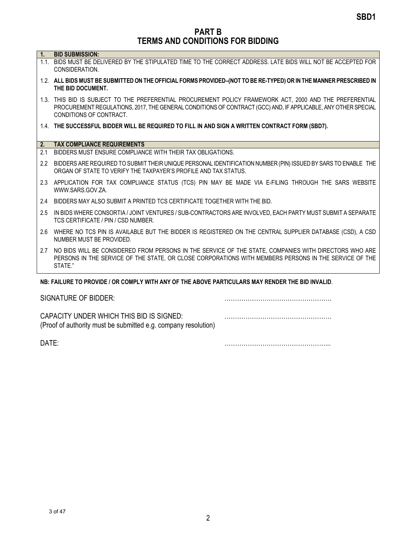PART B TERMS AND CONDITIONS FOR BIDDING

| Ч. |  |  |  | <b>BID SUBMISSION:</b> |  |
|----|--|--|--|------------------------|--|
|----|--|--|--|------------------------|--|

- 1.1. BIDS MUST BE DELIVERED BY THE STIPULATED TIME TO THE CORRECT ADDRESS. LATE BIDS WILL NOT BE ACCEPTED FOR CONSIDERATION.
- 1.2. ALL BIDS MUST BE SUBMITTED ON THE OFFICIAL FORMS PROVIDED–(NOT TO BE RE-TYPED) OR IN THE MANNER PRESCRIBED IN THE BID DOCUMENT.
- 1.3. THIS BID IS SUBJECT TO THE PREFERENTIAL PROCUREMENT POLICY FRAMEWORK ACT, 2000 AND THE PREFERENTIAL PROCUREMENT REGULATIONS, 2017, THE GENERAL CONDITIONS OF CONTRACT (GCC) AND, IF APPLICABLE, ANY OTHER SPECIAL CONDITIONS OF CONTRACT.
- 1.4. THE SUCCESSFUL BIDDER WILL BE REQUIRED TO FILL IN AND SIGN A WRITTEN CONTRACT FORM (SBD7).

#### 2. TAX COMPLIANCE REQUIREMENTS

- 2.1 BIDDERS MUST ENSURE COMPLIANCE WITH THEIR TAX OBLIGATIONS.
- 2.2 BIDDERS ARE REQUIRED TO SUBMIT THEIR UNIQUE PERSONAL IDENTIFICATION NUMBER (PIN) ISSUED BY SARS TO ENABLE THE ORGAN OF STATE TO VERIFY THE TAXPAYER'S PROFILE AND TAX STATUS.
- 2.3 APPLICATION FOR TAX COMPLIANCE STATUS (TCS) PIN MAY BE MADE VIA E-FILING THROUGH THE SARS WEBSITE WWW.SARS.GOV.ZA.
- 2.4 BIDDERS MAY ALSO SUBMIT A PRINTED TCS CERTIFICATE TOGETHER WITH THE BID.
- 2.5 IN BIDS WHERE CONSORTIA / JOINT VENTURES / SUB-CONTRACTORS ARE INVOLVED, EACH PARTY MUST SUBMIT A SEPARATE TCS CERTIFICATE / PIN / CSD NUMBER.
- 2.6 WHERE NO TCS PIN IS AVAILABLE BUT THE BIDDER IS REGISTERED ON THE CENTRAL SUPPLIER DATABASE (CSD), A CSD NUMBER MUST BE PROVIDED.
- 2.7 NO BIDS WILL BE CONSIDERED FROM PERSONS IN THE SERVICE OF THE STATE, COMPANIES WITH DIRECTORS WHO ARE PERSONS IN THE SERVICE OF THE STATE, OR CLOSE CORPORATIONS WITH MEMBERS PERSONS IN THE SERVICE OF THE STATE."

#### NB: FAILURE TO PROVIDE / OR COMPLY WITH ANY OF THE ABOVE PARTICULARS MAY RENDER THE BID INVALID.

| SIGNATURE OF BIDDER:                                                                                       |  |
|------------------------------------------------------------------------------------------------------------|--|
| CAPACITY UNDER WHICH THIS BID IS SIGNED:<br>(Proof of authority must be submitted e.g. company resolution) |  |

DATE: <u>matrices</u>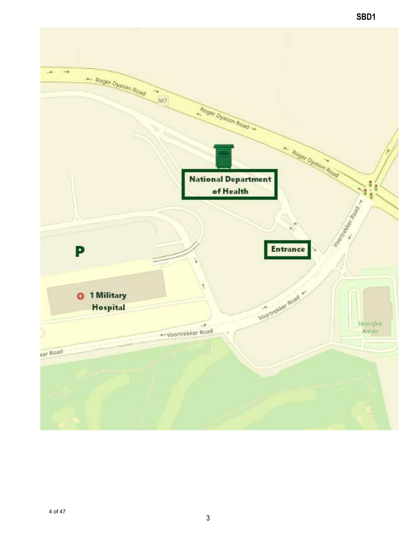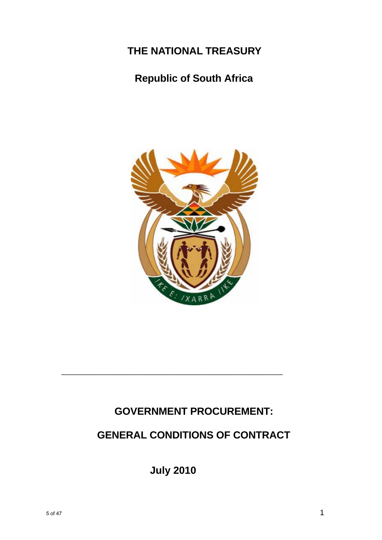# **THE NATIONAL TREASURY**

# **Republic of South Africa**



# **GOVERNMENT PROCUREMENT:**

# **GENERAL CONDITIONS OF CONTRACT**

**July 2010**

**\_\_\_\_\_\_\_\_\_\_\_\_\_\_\_\_\_\_\_\_\_\_\_\_\_\_\_\_\_\_\_\_\_\_\_\_\_\_\_\_\_\_\_\_\_\_\_\_\_\_\_\_\_\_\_\_\_\_\_\_\_\_\_\_\_\_\_\_\_**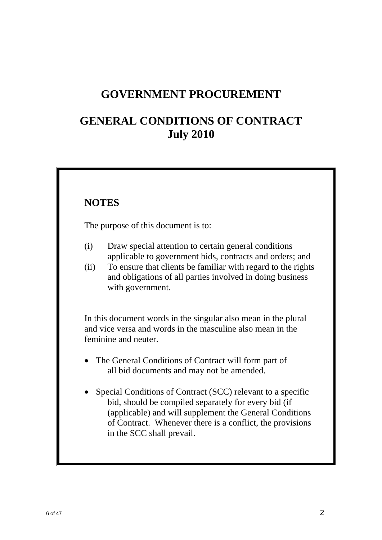# **GOVERNMENT PROCUREMENT**

# **GENERAL CONDITIONS OF CONTRACT July 2010**

# **NOTES**

The purpose of this document is to:

- (i) Draw special attention to certain general conditions applicable to government bids, contracts and orders; and
- (ii) To ensure that clients be familiar with regard to the rights and obligations of all parties involved in doing business with government.

 In this document words in the singular also mean in the plural and vice versa and words in the masculine also mean in the feminine and neuter.

- The General Conditions of Contract will form part of all bid documents and may not be amended.
- Special Conditions of Contract (SCC) relevant to a specific bid, should be compiled separately for every bid (if (applicable) and will supplement the General Conditions of Contract. Whenever there is a conflict, the provisions in the SCC shall prevail.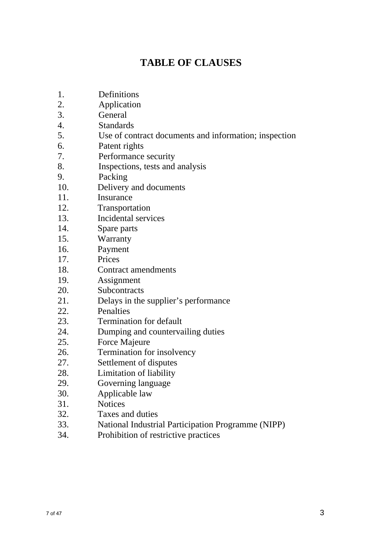# **TABLE OF CLAUSES**

- 1. Definitions
- 2. Application
- 3. General
- 4. Standards
- 5. Use of contract documents and information; inspection
- 6. Patent rights
- 7. Performance security
- 8. Inspections, tests and analysis
- 9. Packing
- 10. Delivery and documents
- 11. Insurance
- 12. Transportation
- 13. Incidental services
- 14. Spare parts
- 15. Warranty
- 16. Payment
- 17. Prices
- 18. Contract amendments
- 19. Assignment
- 20. Subcontracts
- 21. Delays in the supplier's performance
- 22. Penalties
- 23. Termination for default
- 24. Dumping and countervailing duties
- 25. Force Majeure
- 26. Termination for insolvency
- 27. Settlement of disputes
- 28. Limitation of liability
- 29. Governing language
- 30. Applicable law
- 31. Notices
- 32. Taxes and duties
- 33. National Industrial Participation Programme (NIPP)
- 34. Prohibition of restrictive practices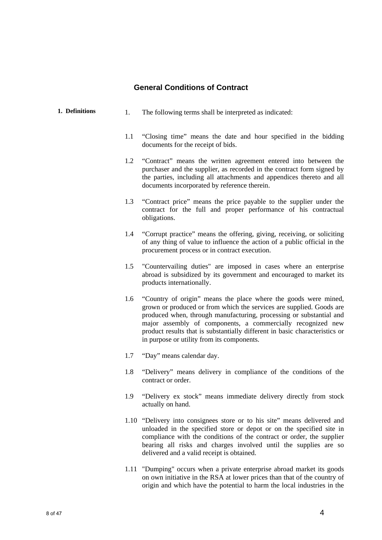# **General Conditions of Contract**

| 1. Definitions | 1.  | The following terms shall be interpreted as indicated:                                                                                                                                                                                                                                                                                                                                                     |  |
|----------------|-----|------------------------------------------------------------------------------------------------------------------------------------------------------------------------------------------------------------------------------------------------------------------------------------------------------------------------------------------------------------------------------------------------------------|--|
|                | 1.1 | "Closing time" means the date and hour specified in the bidding<br>documents for the receipt of bids.                                                                                                                                                                                                                                                                                                      |  |
|                | 1.2 | "Contract" means the written agreement entered into between the<br>purchaser and the supplier, as recorded in the contract form signed by<br>the parties, including all attachments and appendices thereto and all<br>documents incorporated by reference therein.                                                                                                                                         |  |
|                | 1.3 | "Contract price" means the price payable to the supplier under the<br>contract for the full and proper performance of his contractual<br>obligations.                                                                                                                                                                                                                                                      |  |
|                | 1.4 | "Corrupt practice" means the offering, giving, receiving, or soliciting<br>of any thing of value to influence the action of a public official in the<br>procurement process or in contract execution.                                                                                                                                                                                                      |  |
|                | 1.5 | "Countervailing duties" are imposed in cases where an enterprise<br>abroad is subsidized by its government and encouraged to market its<br>products internationally.                                                                                                                                                                                                                                       |  |
|                | 1.6 | "Country of origin" means the place where the goods were mined,<br>grown or produced or from which the services are supplied. Goods are<br>produced when, through manufacturing, processing or substantial and<br>major assembly of components, a commercially recognized new<br>product results that is substantially different in basic characteristics or<br>in purpose or utility from its components. |  |
|                | 1.7 | "Day" means calendar day.                                                                                                                                                                                                                                                                                                                                                                                  |  |
|                | 1.8 | "Delivery" means delivery in compliance of the conditions of the<br>contract or order.                                                                                                                                                                                                                                                                                                                     |  |
|                | 1.9 | "Delivery ex stock" means immediate delivery directly from stock<br>actually on hand.                                                                                                                                                                                                                                                                                                                      |  |
|                |     | 1.10 "Delivery into consignees store or to his site" means delivered and<br>unloaded in the specified store or depot or on the specified site in<br>compliance with the conditions of the contract or order, the supplier<br>bearing all risks and charges involved until the supplies are so<br>delivered and a valid receipt is obtained.                                                                |  |

1.11 "Dumping" occurs when a private enterprise abroad market its goods on own initiative in the RSA at lower prices than that of the country of origin and which have the potential to harm the local industries in the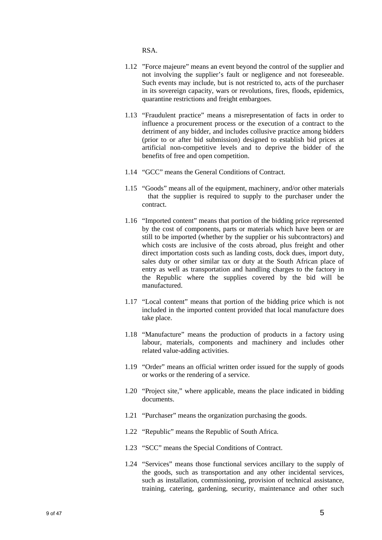RSA.

- 1.12 "Force majeure" means an event beyond the control of the supplier and not involving the supplier's fault or negligence and not foreseeable. Such events may include, but is not restricted to, acts of the purchaser in its sovereign capacity, wars or revolutions, fires, floods, epidemics, quarantine restrictions and freight embargoes.
- 1.13 "Fraudulent practice" means a misrepresentation of facts in order to influence a procurement process or the execution of a contract to the detriment of any bidder, and includes collusive practice among bidders (prior to or after bid submission) designed to establish bid prices at artificial non-competitive levels and to deprive the bidder of the benefits of free and open competition.
- 1.14 "GCC" means the General Conditions of Contract.
- 1.15 "Goods" means all of the equipment, machinery, and/or other materials that the supplier is required to supply to the purchaser under the contract.
- 1.16 "Imported content" means that portion of the bidding price represented by the cost of components, parts or materials which have been or are still to be imported (whether by the supplier or his subcontractors) and which costs are inclusive of the costs abroad, plus freight and other direct importation costs such as landing costs, dock dues, import duty, sales duty or other similar tax or duty at the South African place of entry as well as transportation and handling charges to the factory in the Republic where the supplies covered by the bid will be manufactured.
- 1.17 "Local content" means that portion of the bidding price which is not included in the imported content provided that local manufacture does take place.
- 1.18 "Manufacture" means the production of products in a factory using labour, materials, components and machinery and includes other related value-adding activities.
- 1.19 "Order" means an official written order issued for the supply of goods or works or the rendering of a service.
- 1.20 "Project site," where applicable, means the place indicated in bidding documents.
- 1.21 "Purchaser" means the organization purchasing the goods.
- 1.22 "Republic" means the Republic of South Africa.
- 1.23 "SCC" means the Special Conditions of Contract.
- 1.24 "Services" means those functional services ancillary to the supply of the goods, such as transportation and any other incidental services, such as installation, commissioning, provision of technical assistance, training, catering, gardening, security, maintenance and other such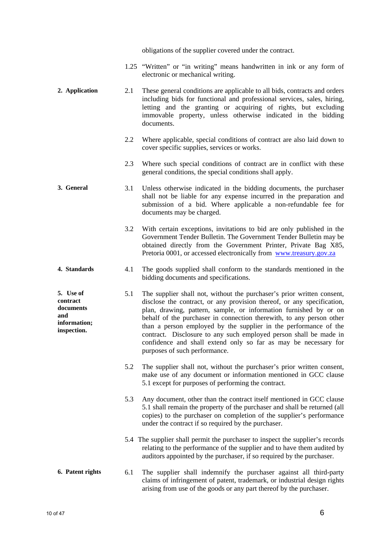obligations of the supplier covered under the contract.

- 1.25 "Written" or "in writing" means handwritten in ink or any form of electronic or mechanical writing.
- **2. Application** 2.1 These general conditions are applicable to all bids, contracts and orders including bids for functional and professional services, sales, hiring, letting and the granting or acquiring of rights, but excluding immovable property, unless otherwise indicated in the bidding documents.
	- 2.2 Where applicable, special conditions of contract are also laid down to cover specific supplies, services or works.
	- 2.3 Where such special conditions of contract are in conflict with these general conditions, the special conditions shall apply.
- **3. General** 3.1 Unless otherwise indicated in the bidding documents, the purchaser shall not be liable for any expense incurred in the preparation and submission of a bid. Where applicable a non-refundable fee for documents may be charged.
	- 3.2 With certain exceptions, invitations to bid are only published in the Government Tender Bulletin. The Government Tender Bulletin may be obtained directly from the Government Printer, Private Bag X85, Pretoria 0001, or accessed electronically from www.treasury.gov.za
- **4. Standards** 4.1 The goods supplied shall conform to the standards mentioned in the bidding documents and specifications.
- **5. Use of contract documents information; inspection.**  5.1 The supplier shall not, without the purchaser's prior written consent, disclose the contract, or any provision thereof, or any specification, plan, drawing, pattern, sample, or information furnished by or on behalf of the purchaser in connection therewith, to any person other than a person employed by the supplier in the performance of the contract. Disclosure to any such employed person shall be made in confidence and shall extend only so far as may be necessary for purposes of such performance.
	- 5.2 The supplier shall not, without the purchaser's prior written consent, make use of any document or information mentioned in GCC clause 5.1 except for purposes of performing the contract.
	- 5.3 Any document, other than the contract itself mentioned in GCC clause 5.1 shall remain the property of the purchaser and shall be returned (all copies) to the purchaser on completion of the supplier's performance under the contract if so required by the purchaser.
	- 5.4 The supplier shall permit the purchaser to inspect the supplier's records relating to the performance of the supplier and to have them audited by auditors appointed by the purchaser, if so required by the purchaser.

#### **6. Patent rights** 6.1 The supplier shall indemnify the purchaser against all third-party claims of infringement of patent, trademark, or industrial design rights arising from use of the goods or any part thereof by the purchaser.

**and**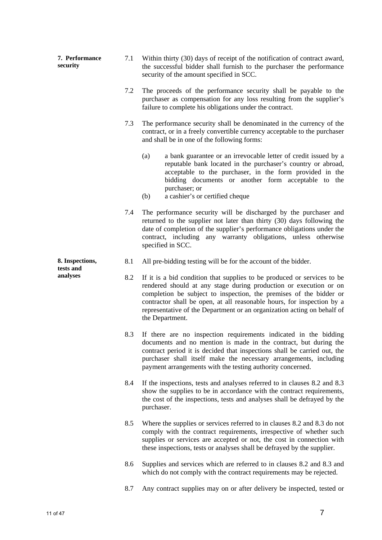| 7. Performance<br>7.1<br>security |     | Within thirty (30) days of receipt of the notification of contract award,<br>the successful bidder shall furnish to the purchaser the performance<br>security of the amount specified in SCC.                                                                                                                                                                                              |
|-----------------------------------|-----|--------------------------------------------------------------------------------------------------------------------------------------------------------------------------------------------------------------------------------------------------------------------------------------------------------------------------------------------------------------------------------------------|
|                                   | 7.2 | The proceeds of the performance security shall be payable to the<br>purchaser as compensation for any loss resulting from the supplier's<br>failure to complete his obligations under the contract.                                                                                                                                                                                        |
|                                   | 7.3 | The performance security shall be denominated in the currency of the<br>contract, or in a freely convertible currency acceptable to the purchaser<br>and shall be in one of the following forms:                                                                                                                                                                                           |
|                                   |     | (a)<br>a bank guarantee or an irrevocable letter of credit issued by a<br>reputable bank located in the purchaser's country or abroad,<br>acceptable to the purchaser, in the form provided in the<br>bidding documents or another form acceptable to the<br>purchaser; or<br>a cashier's or certified cheque<br>(b)                                                                       |
|                                   | 7.4 | The performance security will be discharged by the purchaser and<br>returned to the supplier not later than thirty (30) days following the<br>date of completion of the supplier's performance obligations under the<br>contract, including any warranty obligations, unless otherwise<br>specified in SCC.                                                                                |
| 8. Inspections,<br>tests and      | 8.1 | All pre-bidding testing will be for the account of the bidder.                                                                                                                                                                                                                                                                                                                             |
| analyses                          | 8.2 | If it is a bid condition that supplies to be produced or services to be<br>rendered should at any stage during production or execution or on<br>completion be subject to inspection, the premises of the bidder or<br>contractor shall be open, at all reasonable hours, for inspection by a<br>representative of the Department or an organization acting on behalf of<br>the Department. |
|                                   | 8.3 | If there are no inspection requirements indicated in the bidding<br>documents and no mention is made in the contract, but during the<br>contract period it is decided that inspections shall be carried out, the<br>purchaser shall itself make the necessary arrangements, including<br>payment arrangements with the testing authority concerned.                                        |
|                                   | 8.4 | If the inspections, tests and analyses referred to in clauses 8.2 and 8.3<br>show the supplies to be in accordance with the contract requirements,<br>the cost of the inspections, tests and analyses shall be defrayed by the<br>purchaser.                                                                                                                                               |
|                                   | 8.5 | Where the supplies or services referred to in clauses 8.2 and 8.3 do not<br>comply with the contract requirements, irrespective of whether such<br>supplies or services are accepted or not, the cost in connection with<br>these inspections, tests or analyses shall be defrayed by the supplier.                                                                                        |
|                                   | 8.6 | Supplies and services which are referred to in clauses 8.2 and 8.3 and<br>which do not comply with the contract requirements may be rejected.                                                                                                                                                                                                                                              |
|                                   | 8.7 | Any contract supplies may on or after delivery be inspected, tested or                                                                                                                                                                                                                                                                                                                     |
|                                   |     |                                                                                                                                                                                                                                                                                                                                                                                            |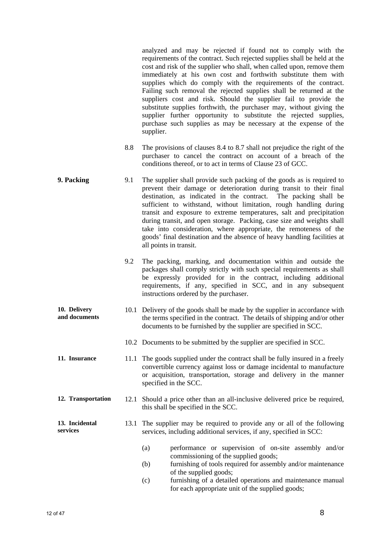analyzed and may be rejected if found not to comply with the requirements of the contract. Such rejected supplies shall be held at the cost and risk of the supplier who shall, when called upon, remove them immediately at his own cost and forthwith substitute them with supplies which do comply with the requirements of the contract. Failing such removal the rejected supplies shall be returned at the suppliers cost and risk. Should the supplier fail to provide the substitute supplies forthwith, the purchaser may, without giving the supplier further opportunity to substitute the rejected supplies, purchase such supplies as may be necessary at the expense of the supplier.

- 8.8 The provisions of clauses 8.4 to 8.7 shall not prejudice the right of the purchaser to cancel the contract on account of a breach of the conditions thereof, or to act in terms of Clause 23 of GCC.
- **9. Packing** 9.1 The supplier shall provide such packing of the goods as is required to prevent their damage or deterioration during transit to their final destination, as indicated in the contract. The packing shall be sufficient to withstand, without limitation, rough handling during transit and exposure to extreme temperatures, salt and precipitation during transit, and open storage. Packing, case size and weights shall take into consideration, where appropriate, the remoteness of the goods' final destination and the absence of heavy handling facilities at all points in transit.
	- 9.2 The packing, marking, and documentation within and outside the packages shall comply strictly with such special requirements as shall be expressly provided for in the contract, including additional requirements, if any, specified in SCC, and in any subsequent instructions ordered by the purchaser.
- **10. Delivery and documents**  10.1 Delivery of the goods shall be made by the supplier in accordance with the terms specified in the contract. The details of shipping and/or other documents to be furnished by the supplier are specified in SCC.
	- 10.2 Documents to be submitted by the supplier are specified in SCC.
- **11. Insurance** 11.1 The goods supplied under the contract shall be fully insured in a freely convertible currency against loss or damage incidental to manufacture or acquisition, transportation, storage and delivery in the manner specified in the SCC.
- **12. Transportation** 12.1 Should a price other than an all-inclusive delivered price be required, this shall be specified in the SCC.
- **13. Incidental services**  13.1 The supplier may be required to provide any or all of the following services, including additional services, if any, specified in SCC:
	- (a) performance or supervision of on-site assembly and/or commissioning of the supplied goods;
	- (b) furnishing of tools required for assembly and/or maintenance of the supplied goods;
	- (c) furnishing of a detailed operations and maintenance manual for each appropriate unit of the supplied goods;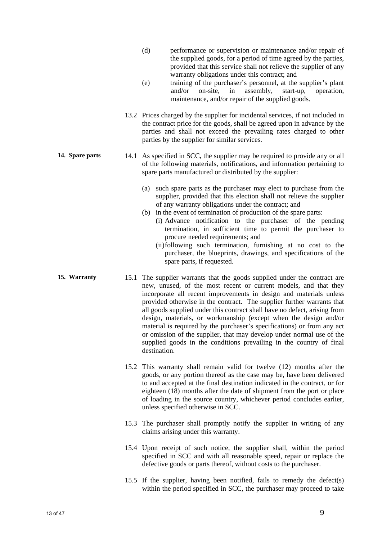- (d) performance or supervision or maintenance and/or repair of the supplied goods, for a period of time agreed by the parties, provided that this service shall not relieve the supplier of any warranty obligations under this contract; and
- (e) training of the purchaser's personnel, at the supplier's plant and/or on-site, in assembly, start-up, operation, maintenance, and/or repair of the supplied goods.
- 13.2 Prices charged by the supplier for incidental services, if not included in the contract price for the goods, shall be agreed upon in advance by the parties and shall not exceed the prevailing rates charged to other parties by the supplier for similar services.
- **14. Spare parts** 14.1 As specified in SCC, the supplier may be required to provide any or all of the following materials, notifications, and information pertaining to spare parts manufactured or distributed by the supplier:
	- (a) such spare parts as the purchaser may elect to purchase from the supplier, provided that this election shall not relieve the supplier of any warranty obligations under the contract; and
	- (b) in the event of termination of production of the spare parts: (i) Advance notification to the purchaser of the pending termination, in sufficient time to permit the purchaser to procure needed requirements; and
		- (ii) following such termination, furnishing at no cost to the purchaser, the blueprints, drawings, and specifications of the spare parts, if requested.
- **15. Warranty** 15.1 The supplier warrants that the goods supplied under the contract are new, unused, of the most recent or current models, and that they incorporate all recent improvements in design and materials unless provided otherwise in the contract. The supplier further warrants that all goods supplied under this contract shall have no defect, arising from design, materials, or workmanship (except when the design and/or material is required by the purchaser's specifications) or from any act or omission of the supplier, that may develop under normal use of the supplied goods in the conditions prevailing in the country of final destination.
	- 15.2 This warranty shall remain valid for twelve (12) months after the goods, or any portion thereof as the case may be, have been delivered to and accepted at the final destination indicated in the contract, or for eighteen (18) months after the date of shipment from the port or place of loading in the source country, whichever period concludes earlier, unless specified otherwise in SCC.
	- 15.3 The purchaser shall promptly notify the supplier in writing of any claims arising under this warranty.
	- 15.4 Upon receipt of such notice, the supplier shall, within the period specified in SCC and with all reasonable speed, repair or replace the defective goods or parts thereof, without costs to the purchaser.
	- 15.5 If the supplier, having been notified, fails to remedy the defect(s) within the period specified in SCC, the purchaser may proceed to take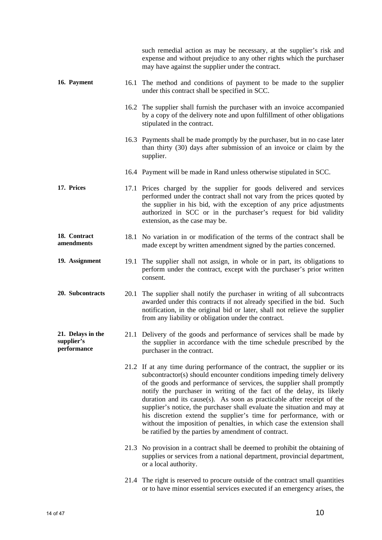|                                                |      | such remedial action as may be necessary, at the supplier's risk and<br>expense and without prejudice to any other rights which the purchaser<br>may have against the supplier under the contract.                                                                                                                                                                                                                                                                                                                                                                                                                                                                  |
|------------------------------------------------|------|---------------------------------------------------------------------------------------------------------------------------------------------------------------------------------------------------------------------------------------------------------------------------------------------------------------------------------------------------------------------------------------------------------------------------------------------------------------------------------------------------------------------------------------------------------------------------------------------------------------------------------------------------------------------|
| 16. Payment                                    |      | 16.1 The method and conditions of payment to be made to the supplier<br>under this contract shall be specified in SCC.                                                                                                                                                                                                                                                                                                                                                                                                                                                                                                                                              |
|                                                |      | 16.2 The supplier shall furnish the purchaser with an invoice accompanied<br>by a copy of the delivery note and upon fulfillment of other obligations<br>stipulated in the contract.                                                                                                                                                                                                                                                                                                                                                                                                                                                                                |
|                                                |      | 16.3 Payments shall be made promptly by the purchaser, but in no case later<br>than thirty (30) days after submission of an invoice or claim by the<br>supplier.                                                                                                                                                                                                                                                                                                                                                                                                                                                                                                    |
|                                                |      | 16.4 Payment will be made in Rand unless otherwise stipulated in SCC.                                                                                                                                                                                                                                                                                                                                                                                                                                                                                                                                                                                               |
| 17. Prices                                     |      | 17.1 Prices charged by the supplier for goods delivered and services<br>performed under the contract shall not vary from the prices quoted by<br>the supplier in his bid, with the exception of any price adjustments<br>authorized in SCC or in the purchaser's request for bid validity<br>extension, as the case may be.                                                                                                                                                                                                                                                                                                                                         |
| 18. Contract<br>amendments                     |      | 18.1 No variation in or modification of the terms of the contract shall be<br>made except by written amendment signed by the parties concerned.                                                                                                                                                                                                                                                                                                                                                                                                                                                                                                                     |
| 19. Assignment                                 | 19.1 | The supplier shall not assign, in whole or in part, its obligations to<br>perform under the contract, except with the purchaser's prior written<br>consent.                                                                                                                                                                                                                                                                                                                                                                                                                                                                                                         |
| 20. Subcontracts                               | 20.1 | The supplier shall notify the purchaser in writing of all subcontracts<br>awarded under this contracts if not already specified in the bid. Such<br>notification, in the original bid or later, shall not relieve the supplier<br>from any liability or obligation under the contract.                                                                                                                                                                                                                                                                                                                                                                              |
| 21. Delays in the<br>supplier's<br>performance |      | 21.1 Delivery of the goods and performance of services shall be made by<br>the supplier in accordance with the time schedule prescribed by the<br>purchaser in the contract.                                                                                                                                                                                                                                                                                                                                                                                                                                                                                        |
|                                                |      | 21.2 If at any time during performance of the contract, the supplier or its<br>subcontractor(s) should encounter conditions impeding timely delivery<br>of the goods and performance of services, the supplier shall promptly<br>notify the purchaser in writing of the fact of the delay, its likely<br>duration and its cause(s). As soon as practicable after receipt of the<br>supplier's notice, the purchaser shall evaluate the situation and may at<br>his discretion extend the supplier's time for performance, with or<br>without the imposition of penalties, in which case the extension shall<br>be ratified by the parties by amendment of contract. |
|                                                |      | 21.3 No provision in a contract shall be deemed to prohibit the obtaining of<br>supplies or services from a national department, provincial department,<br>or a local authority.                                                                                                                                                                                                                                                                                                                                                                                                                                                                                    |
|                                                |      | 21.4 The right is reserved to procure outside of the contract small quantities<br>or to have minor essential services executed if an emergency arises, the                                                                                                                                                                                                                                                                                                                                                                                                                                                                                                          |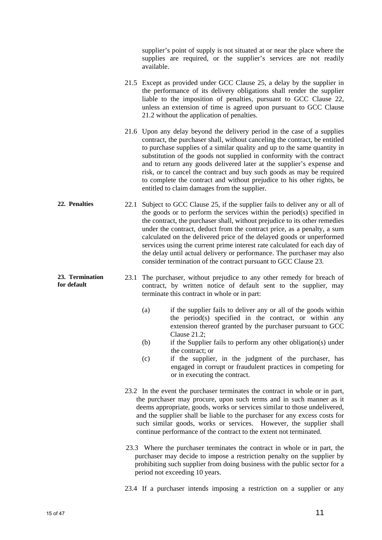supplier's point of supply is not situated at or near the place where the supplies are required, or the supplier's services are not readily available.

- 21.5 Except as provided under GCC Clause 25, a delay by the supplier in the performance of its delivery obligations shall render the supplier liable to the imposition of penalties, pursuant to GCC Clause 22, unless an extension of time is agreed upon pursuant to GCC Clause 21.2 without the application of penalties.
- 21.6 Upon any delay beyond the delivery period in the case of a supplies contract, the purchaser shall, without canceling the contract, be entitled to purchase supplies of a similar quality and up to the same quantity in substitution of the goods not supplied in conformity with the contract and to return any goods delivered later at the supplier's expense and risk, or to cancel the contract and buy such goods as may be required to complete the contract and without prejudice to his other rights, be entitled to claim damages from the supplier.
- **22. Penalties** 22.1 Subject to GCC Clause 25, if the supplier fails to deliver any or all of the goods or to perform the services within the period(s) specified in the contract, the purchaser shall, without prejudice to its other remedies under the contract, deduct from the contract price, as a penalty, a sum calculated on the delivered price of the delayed goods or unperformed services using the current prime interest rate calculated for each day of the delay until actual delivery or performance. The purchaser may also consider termination of the contract pursuant to GCC Clause 23.
	- 23.1 The purchaser, without prejudice to any other remedy for breach of contract, by written notice of default sent to the supplier, may terminate this contract in whole or in part:
		- (a) if the supplier fails to deliver any or all of the goods within the period(s) specified in the contract, or within any extension thereof granted by the purchaser pursuant to GCC Clause 21.2;
		- (b) if the Supplier fails to perform any other obligation(s) under the contract; or
		- (c) if the supplier, in the judgment of the purchaser, has engaged in corrupt or fraudulent practices in competing for or in executing the contract.
		- 23.2 In the event the purchaser terminates the contract in whole or in part, the purchaser may procure, upon such terms and in such manner as it deems appropriate, goods, works or services similar to those undelivered, and the supplier shall be liable to the purchaser for any excess costs for such similar goods, works or services. However, the supplier shall continue performance of the contract to the extent not terminated.
		- 23.3 Where the purchaser terminates the contract in whole or in part, the purchaser may decide to impose a restriction penalty on the supplier by prohibiting such supplier from doing business with the public sector for a period not exceeding 10 years.

23.4 If a purchaser intends imposing a restriction on a supplier or any

**23. Termination for default**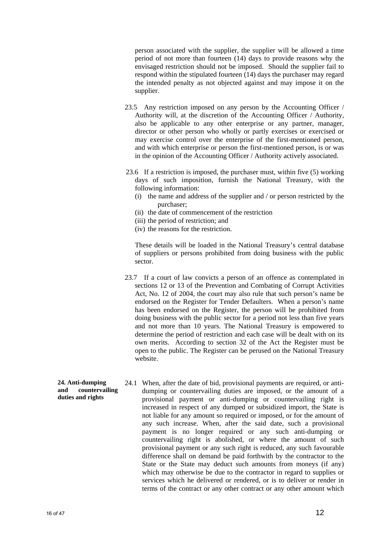person associated with the supplier, the supplier will be allowed a time period of not more than fourteen (14) days to provide reasons why the envisaged restriction should not be imposed. Should the supplier fail to respond within the stipulated fourteen (14) days the purchaser may regard the intended penalty as not objected against and may impose it on the supplier.

- 23.5 Any restriction imposed on any person by the Accounting Officer / Authority will, at the discretion of the Accounting Officer / Authority, also be applicable to any other enterprise or any partner, manager, director or other person who wholly or partly exercises or exercised or may exercise control over the enterprise of the first-mentioned person, and with which enterprise or person the first-mentioned person, is or was in the opinion of the Accounting Officer / Authority actively associated.
- 23.6 If a restriction is imposed, the purchaser must, within five (5) working days of such imposition, furnish the National Treasury, with the following information:
	- (i) the name and address of the supplier and / or person restricted by the purchaser;
	- (ii) the date of commencement of the restriction
	- (iii) the period of restriction; and
	- (iv) the reasons for the restriction.

These details will be loaded in the National Treasury's central database of suppliers or persons prohibited from doing business with the public sector.

- 23.7 If a court of law convicts a person of an offence as contemplated in sections 12 or 13 of the Prevention and Combating of Corrupt Activities Act, No. 12 of 2004, the court may also rule that such person's name be endorsed on the Register for Tender Defaulters. When a person's name has been endorsed on the Register, the person will be prohibited from doing business with the public sector for a period not less than five years and not more than 10 years. The National Treasury is empowered to determine the period of restriction and each case will be dealt with on its own merits. According to section 32 of the Act the Register must be open to the public. The Register can be perused on the National Treasury website.
- **24. Anti-dumping and countervailing duties and rights**  24.1 When, after the date of bid, provisional payments are required, or antidumping or countervailing duties are imposed, or the amount of a provisional payment or anti-dumping or countervailing right is increased in respect of any dumped or subsidized import, the State is not liable for any amount so required or imposed, or for the amount of any such increase. When, after the said date, such a provisional payment is no longer required or any such anti-dumping or countervailing right is abolished, or where the amount of such provisional payment or any such right is reduced, any such favourable difference shall on demand be paid forthwith by the contractor to the State or the State may deduct such amounts from moneys (if any) which may otherwise be due to the contractor in regard to supplies or services which he delivered or rendered, or is to deliver or render in terms of the contract or any other contract or any other amount which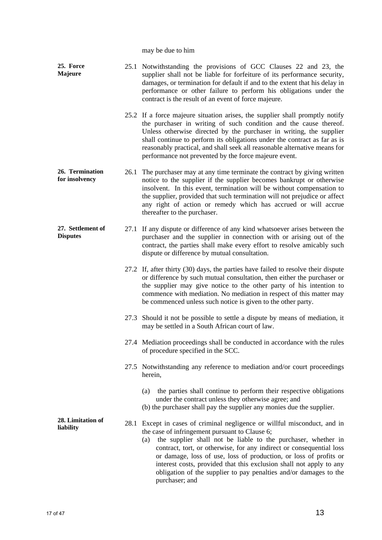may be due to him

| 25. Force<br>Majeure                 |      | 25.1 Notwithstanding the provisions of GCC Clauses 22 and 23, the<br>supplier shall not be liable for forfeiture of its performance security,<br>damages, or termination for default if and to the extent that his delay in<br>performance or other failure to perform his obligations under the<br>contract is the result of an event of force majeure.                                                                                                                                                       |
|--------------------------------------|------|----------------------------------------------------------------------------------------------------------------------------------------------------------------------------------------------------------------------------------------------------------------------------------------------------------------------------------------------------------------------------------------------------------------------------------------------------------------------------------------------------------------|
|                                      |      | 25.2 If a force majeure situation arises, the supplier shall promptly notify<br>the purchaser in writing of such condition and the cause thereof.<br>Unless otherwise directed by the purchaser in writing, the supplier<br>shall continue to perform its obligations under the contract as far as is<br>reasonably practical, and shall seek all reasonable alternative means for<br>performance not prevented by the force majeure event.                                                                    |
| 26. Termination<br>for insolvency    | 26.1 | The purchaser may at any time terminate the contract by giving written<br>notice to the supplier if the supplier becomes bankrupt or otherwise<br>insolvent. In this event, termination will be without compensation to<br>the supplier, provided that such termination will not prejudice or affect<br>any right of action or remedy which has accrued or will accrue<br>thereafter to the purchaser.                                                                                                         |
| 27. Settlement of<br><b>Disputes</b> |      | 27.1 If any dispute or difference of any kind whatsoever arises between the<br>purchaser and the supplier in connection with or arising out of the<br>contract, the parties shall make every effort to resolve amicably such<br>dispute or difference by mutual consultation.                                                                                                                                                                                                                                  |
|                                      |      | 27.2 If, after thirty (30) days, the parties have failed to resolve their dispute<br>or difference by such mutual consultation, then either the purchaser or<br>the supplier may give notice to the other party of his intention to<br>commence with mediation. No mediation in respect of this matter may<br>be commenced unless such notice is given to the other party.                                                                                                                                     |
|                                      |      | 27.3 Should it not be possible to settle a dispute by means of mediation, it<br>may be settled in a South African court of law.                                                                                                                                                                                                                                                                                                                                                                                |
|                                      |      | 27.4 Mediation proceedings shall be conducted in accordance with the rules<br>of procedure specified in the SCC.                                                                                                                                                                                                                                                                                                                                                                                               |
|                                      |      | 27.5 Notwithstanding any reference to mediation and/or court proceedings<br>herein,                                                                                                                                                                                                                                                                                                                                                                                                                            |
|                                      |      | the parties shall continue to perform their respective obligations<br>(a)<br>under the contract unless they otherwise agree; and<br>(b) the purchaser shall pay the supplier any monies due the supplier.                                                                                                                                                                                                                                                                                                      |
| 28. Limitation of<br>liability       |      | 28.1 Except in cases of criminal negligence or willful misconduct, and in<br>the case of infringement pursuant to Clause 6;<br>the supplier shall not be liable to the purchaser, whether in<br>(a)<br>contract, tort, or otherwise, for any indirect or consequential loss<br>or damage, loss of use, loss of production, or loss of profits or<br>interest costs, provided that this exclusion shall not apply to any<br>obligation of the supplier to pay penalties and/or damages to the<br>purchaser; and |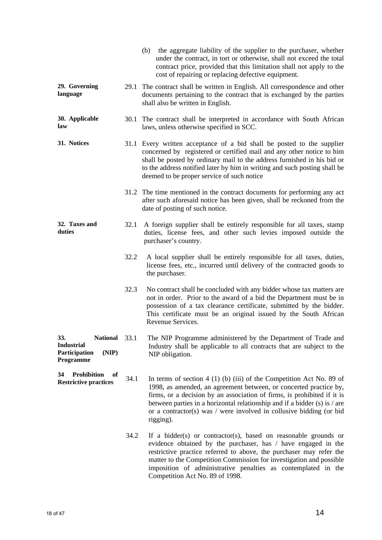|                                                                                  |      | (b) the aggregate liability of the supplier to the purchaser, whether<br>under the contract, in tort or otherwise, shall not exceed the total<br>contract price, provided that this limitation shall not apply to the<br>cost of repairing or replacing defective equipment.                                                                                                             |
|----------------------------------------------------------------------------------|------|------------------------------------------------------------------------------------------------------------------------------------------------------------------------------------------------------------------------------------------------------------------------------------------------------------------------------------------------------------------------------------------|
| 29. Governing<br>language                                                        |      | 29.1 The contract shall be written in English. All correspondence and other<br>documents pertaining to the contract that is exchanged by the parties<br>shall also be written in English.                                                                                                                                                                                                |
| 30. Applicable<br>law                                                            |      | 30.1 The contract shall be interpreted in accordance with South African<br>laws, unless otherwise specified in SCC.                                                                                                                                                                                                                                                                      |
| 31. Notices                                                                      |      | 31.1 Every written acceptance of a bid shall be posted to the supplier<br>concerned by registered or certified mail and any other notice to him<br>shall be posted by ordinary mail to the address furnished in his bid or<br>to the address notified later by him in writing and such posting shall be<br>deemed to be proper service of such notice                                    |
|                                                                                  |      | 31.2 The time mentioned in the contract documents for performing any act<br>after such aforesaid notice has been given, shall be reckoned from the<br>date of posting of such notice.                                                                                                                                                                                                    |
| 32. Taxes and<br>duties                                                          | 32.1 | A foreign supplier shall be entirely responsible for all taxes, stamp<br>duties, license fees, and other such levies imposed outside the<br>purchaser's country.                                                                                                                                                                                                                         |
|                                                                                  | 32.2 | A local supplier shall be entirely responsible for all taxes, duties,<br>license fees, etc., incurred until delivery of the contracted goods to<br>the purchaser.                                                                                                                                                                                                                        |
|                                                                                  | 32.3 | No contract shall be concluded with any bidder whose tax matters are<br>not in order. Prior to the award of a bid the Department must be in<br>possession of a tax clearance certificate, submitted by the bidder.<br>This certificate must be an original issued by the South African<br>Revenue Services.                                                                              |
| 33.<br>National 33.1<br><b>Industrial</b><br>Participation<br>(NIP)<br>Programme |      | The NIP Programme administered by the Department of Trade and<br>Industry shall be applicable to all contracts that are subject to the<br>NIP obligation.                                                                                                                                                                                                                                |
| <b>Prohibition</b><br>34<br>of<br><b>Restrictive practices</b>                   | 34.1 | In terms of section $4(1)(b)(iii)$ of the Competition Act No. 89 of<br>1998, as amended, an agreement between, or concerted practice by,<br>firms, or a decision by an association of firms, is prohibited if it is<br>between parties in a horizontal relationship and if a bidder $(s)$ is / are<br>or a contractor(s) was $/$ were involved in collusive bidding (or bid<br>rigging). |
|                                                                                  | 34.2 | If a bidder(s) or contractor(s), based on reasonable grounds or<br>evidence obtained by the purchaser, has / have engaged in the<br>restrictive practice referred to above, the purchaser may refer the<br>matter to the Competition Commission for investigation and possible<br>imposition of administrative penalties as contemplated in the<br>Competition Act No. 89 of 1998.       |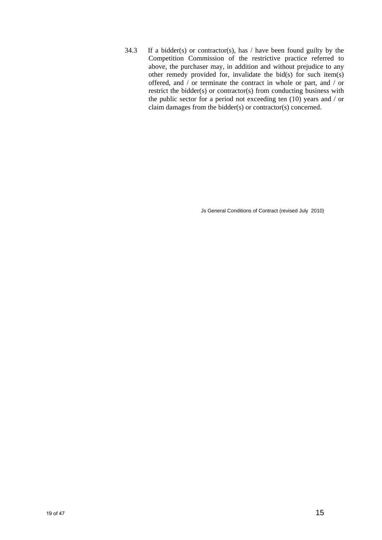34.3 If a bidder(s) or contractor(s), has  $/$  have been found guilty by the Competition Commission of the restrictive practice referred to above, the purchaser may, in addition and without prejudice to any other remedy provided for, invalidate the bid(s) for such item(s) offered, and / or terminate the contract in whole or part, and / or restrict the bidder(s) or contractor(s) from conducting business with the public sector for a period not exceeding ten (10) years and / or claim damages from the bidder(s) or contractor(s) concerned.

Js General Conditions of Contract (revised July 2010)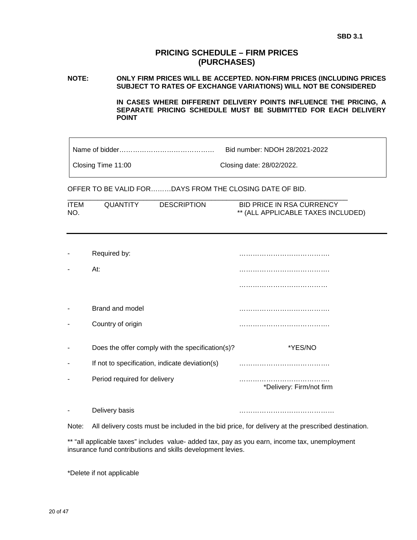#### **PRICING SCHEDULE – FIRM PRICES (PURCHASES)**

#### **NOTE: ONLY FIRM PRICES WILL BE ACCEPTED. NON-FIRM PRICES (INCLUDING PRICES SUBJECT TO RATES OF EXCHANGE VARIATIONS) WILL NOT BE CONSIDERED**

 **IN CASES WHERE DIFFERENT DELIVERY POINTS INFLUENCE THE PRICING, A SEPARATE PRICING SCHEDULE MUST BE SUBMITTED FOR EACH DELIVERY POINT** 

| Closing Time 11:00 |  |  |
|--------------------|--|--|
|--------------------|--|--|

Closing date: 28/02/2022.

OFFER TO BE VALID FOR………DAYS FROM THE CLOSING DATE OF BID.

| <b>ITEM</b> | QUANTITY | <b>DESCRIPTION</b> | <b>BID PRICE IN RSA CURRENCY</b>   |
|-------------|----------|--------------------|------------------------------------|
| NO.         |          |                    | ** (ALL APPLICABLE TAXES INCLUDED) |

| Required by:                                     |                          |
|--------------------------------------------------|--------------------------|
| At:                                              |                          |
|                                                  |                          |
| Brand and model                                  |                          |
| Country of origin                                |                          |
| Does the offer comply with the specification(s)? | *YES/NO                  |
| If not to specification, indicate deviation(s)   | .                        |
| Period required for delivery                     | *Delivery: Firm/not firm |
| Delivery basis                                   |                          |

Note: All delivery costs must be included in the bid price, for delivery at the prescribed destination.

\*\* "all applicable taxes" includes value- added tax, pay as you earn, income tax, unemployment insurance fund contributions and skills development levies.

\*Delete if not applicable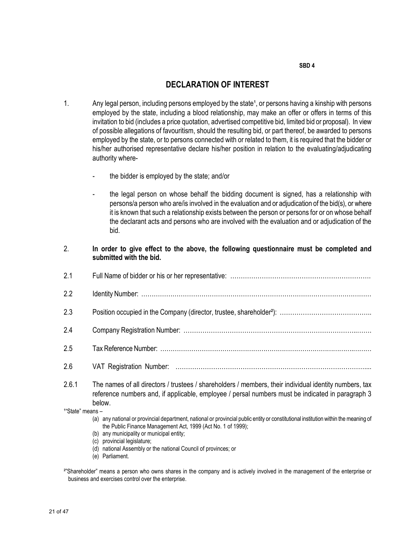#### SBD 4

### DECLARATION OF INTEREST

- 1. Any legal person, including persons employed by the state<sup>1</sup>, or persons having a kinship with persons employed by the state, including a blood relationship, may make an offer or offers in terms of this invitation to bid (includes a price quotation, advertised competitive bid, limited bid or proposal). In view of possible allegations of favouritism, should the resulting bid, or part thereof, be awarded to persons employed by the state, or to persons connected with or related to them, it is required that the bidder or his/her authorised representative declare his/her position in relation to the evaluating/adjudicating authority where
	- the bidder is employed by the state; and/or
	- the legal person on whose behalf the bidding document is signed, has a relationship with persons/a person who are/is involved in the evaluation and or adjudication of the bid(s), or where it is known that such a relationship exists between the person or persons for or on whose behalf the declarant acts and persons who are involved with the evaluation and or adjudication of the bid.

#### 2. In order to give effect to the above, the following questionnaire must be completed and submitted with the bid.

| 2.1                   |                                                                                                                                                                                                                      |
|-----------------------|----------------------------------------------------------------------------------------------------------------------------------------------------------------------------------------------------------------------|
| 2.2                   |                                                                                                                                                                                                                      |
| 2.3                   |                                                                                                                                                                                                                      |
| 2.4                   |                                                                                                                                                                                                                      |
| 2.5                   |                                                                                                                                                                                                                      |
| 2.6                   |                                                                                                                                                                                                                      |
| 2.6.1                 | The names of all directors / trustees / shareholders / members, their individual identity numbers, tax<br>reference numbers and, if applicable, employee / persal numbers must be indicated in paragraph 3<br>below. |
| $1"$ State" means $-$ |                                                                                                                                                                                                                      |

- (a) any national or provincial department, national or provincial public entity or constitutional institution within the meaning of the Public Finance Management Act, 1999 (Act No. 1 of 1999);
- (b) any municipality or municipal entity;
- (c) provincial legislature;
- (d) national Assembly or the national Council of provinces; or
- (e) Parliament.

²"Shareholder" means a person who owns shares in the company and is actively involved in the management of the enterprise or business and exercises control over the enterprise.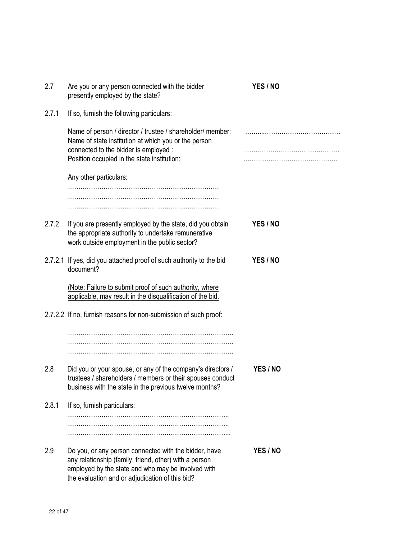| 2.7   | Are you or any person connected with the bidder<br>presently employed by the state?                                                                                                                                      | YES / NO |
|-------|--------------------------------------------------------------------------------------------------------------------------------------------------------------------------------------------------------------------------|----------|
| 2.7.1 | If so, furnish the following particulars:                                                                                                                                                                                |          |
|       | Name of person / director / trustee / shareholder/ member:<br>Name of state institution at which you or the person<br>connected to the bidder is employed :<br>Position occupied in the state institution:               |          |
|       | Any other particulars:                                                                                                                                                                                                   |          |
|       |                                                                                                                                                                                                                          |          |
|       |                                                                                                                                                                                                                          |          |
| 2.7.2 | If you are presently employed by the state, did you obtain<br>the appropriate authority to undertake remunerative<br>work outside employment in the public sector?                                                       | YES / NO |
|       | 2.7.2.1 If yes, did you attached proof of such authority to the bid<br>document?                                                                                                                                         | YES / NO |
|       | (Note: Failure to submit proof of such authority, where<br>applicable, may result in the disqualification of the bid.                                                                                                    |          |
|       | 2.7.2.2 If no, furnish reasons for non-submission of such proof:                                                                                                                                                         |          |
|       |                                                                                                                                                                                                                          |          |
| 2.8   | Did you or your spouse, or any of the company's directors /<br>trustees / shareholders / members or their spouses conduct<br>business with the state in the previous twelve months?                                      | YES / NO |
| 2.8.1 | If so, furnish particulars:                                                                                                                                                                                              |          |
|       |                                                                                                                                                                                                                          |          |
| 2.9   | Do you, or any person connected with the bidder, have<br>any relationship (family, friend, other) with a person<br>employed by the state and who may be involved with<br>the evaluation and or adjudication of this bid? | YES / NO |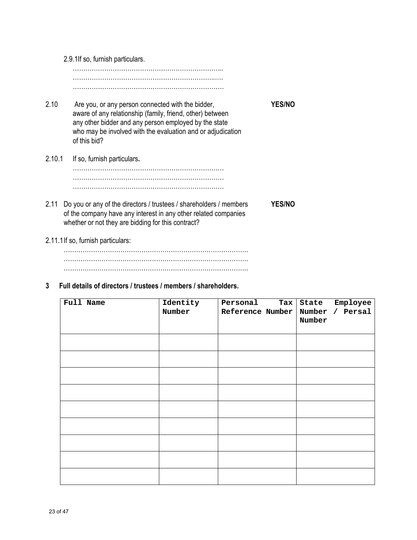2.9.1If so, furnish particulars. ……………………………………………………………... …………………………………………………………..…. ……………………………………………………………… 2.10 Are you, or any person connected with the bidder, YES/NO aware of any relationship (family, friend, other) between any other bidder and any person employed by the state who may be involved with the evaluation and or adjudication of this bid? 2.10.1 If so, furnish particulars. ……………………………………………………………… ……………………………………………………………… ……………………………………………………………… 2.11 Do you or any of the directors / trustees / shareholders / members YES/NO of the company have any interest in any other related companies whether or not they are bidding for this contract? 2.11.1 If so, furnish particulars:

……………………………………………………………………………. ……………………………………………………………………………. …………………………………………………………………………….

#### 3 Full details of directors / trustees / members / shareholders.

| Full Name | Identity<br>Number | Personal<br>$\texttt{Tax}$<br>Reference Number | State Employee<br>Number / Persal<br>Number |
|-----------|--------------------|------------------------------------------------|---------------------------------------------|
|           |                    |                                                |                                             |
|           |                    |                                                |                                             |
|           |                    |                                                |                                             |
|           |                    |                                                |                                             |
|           |                    |                                                |                                             |
|           |                    |                                                |                                             |
|           |                    |                                                |                                             |
|           |                    |                                                |                                             |
|           |                    |                                                |                                             |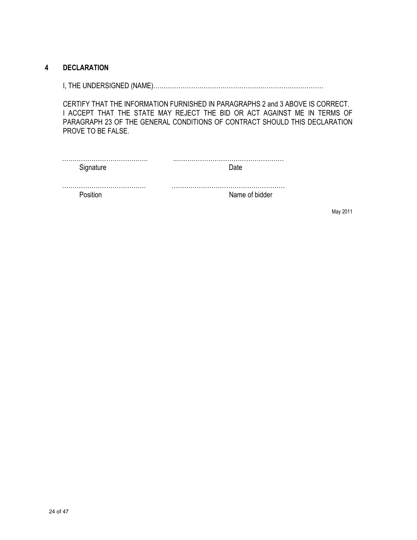### 4 DECLARATION

I, THE UNDERSIGNED (NAME)………………………………………………………………………

CERTIFY THAT THE INFORMATION FURNISHED IN PARAGRAPHS 2 and 3 ABOVE IS CORRECT. I ACCEPT THAT THE STATE MAY REJECT THE BID OR ACT AGAINST ME IN TERMS OF PARAGRAPH 23 OF THE GENERAL CONDITIONS OF CONTRACT SHOULD THIS DECLARATION PROVE TO BE FALSE.

| Signature | ∟ורי           |
|-----------|----------------|
|           |                |
| '∩citi    | Name of bidder |

May 2011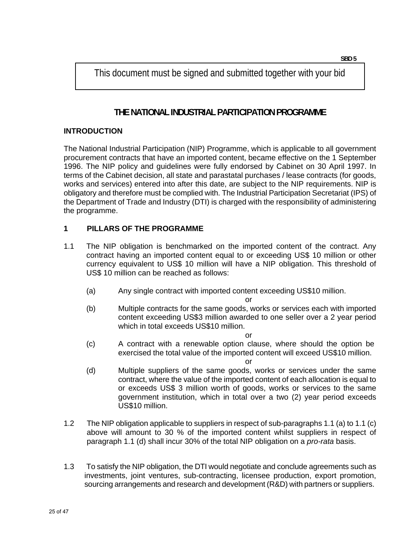This document must be signed and submitted together with your bid

# **THE NATIONAL INDUSTRIAL PARTICIPATION PROGRAMME**

### **INTRODUCTION**

The National Industrial Participation (NIP) Programme, which is applicable to all government procurement contracts that have an imported content, became effective on the 1 September 1996. The NIP policy and guidelines were fully endorsed by Cabinet on 30 April 1997. In terms of the Cabinet decision, all state and parastatal purchases / lease contracts (for goods, works and services) entered into after this date, are subject to the NIP requirements. NIP is obligatory and therefore must be complied with. The Industrial Participation Secretariat (IPS) of the Department of Trade and Industry (DTI) is charged with the responsibility of administering the programme.

### **1 PILLARS OF THE PROGRAMME**

- 1.1 The NIP obligation is benchmarked on the imported content of the contract. Any contract having an imported content equal to or exceeding US\$ 10 million or other currency equivalent to US\$ 10 million will have a NIP obligation. This threshold of US\$ 10 million can be reached as follows:
	- (a) Any single contract with imported content exceeding US\$10 million.

or

(b) Multiple contracts for the same goods, works or services each with imported content exceeding US\$3 million awarded to one seller over a 2 year period which in total exceeds US\$10 million.

or

(c) A contract with a renewable option clause, where should the option be exercised the total value of the imported content will exceed US\$10 million.

or

- (d) Multiple suppliers of the same goods, works or services under the same contract, where the value of the imported content of each allocation is equal to or exceeds US\$ 3 million worth of goods, works or services to the same government institution, which in total over a two (2) year period exceeds US\$10 million.
- 1.2 The NIP obligation applicable to suppliers in respect of sub-paragraphs 1.1 (a) to 1.1 (c) above will amount to 30 % of the imported content whilst suppliers in respect of paragraph 1.1 (d) shall incur 30% of the total NIP obligation on a *pro-rata* basis.
- 1.3 To satisfy the NIP obligation, the DTI would negotiate and conclude agreements such as investments, joint ventures, sub-contracting, licensee production, export promotion, sourcing arrangements and research and development (R&D) with partners or suppliers.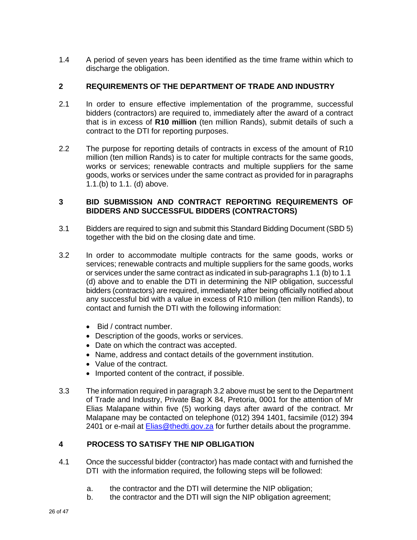1.4 A period of seven years has been identified as the time frame within which to discharge the obligation.

### **2 REQUIREMENTS OF THE DEPARTMENT OF TRADE AND INDUSTRY**

- 2.1 In order to ensure effective implementation of the programme, successful bidders (contractors) are required to, immediately after the award of a contract that is in excess of **R10 million** (ten million Rands), submit details of such a contract to the DTI for reporting purposes.
- 2.2 The purpose for reporting details of contracts in excess of the amount of R10 million (ten million Rands) is to cater for multiple contracts for the same goods, works or services; renewable contracts and multiple suppliers for the same goods, works or services under the same contract as provided for in paragraphs 1.1.(b) to 1.1. (d) above.

#### **3 BID SUBMISSION AND CONTRACT REPORTING REQUIREMENTS OF BIDDERS AND SUCCESSFUL BIDDERS (CONTRACTORS)**

- 3.1 Bidders are required to sign and submit this Standard Bidding Document (SBD 5) together with the bid on the closing date and time.
- 3.2 In order to accommodate multiple contracts for the same goods, works or services; renewable contracts and multiple suppliers for the same goods, works or services under the same contract as indicated in sub-paragraphs 1.1 (b) to 1.1 (d) above and to enable the DTI in determining the NIP obligation, successful bidders (contractors) are required, immediately after being officially notified about any successful bid with a value in excess of R10 million (ten million Rands), to contact and furnish the DTI with the following information:
	- Bid / contract number.
	- Description of the goods, works or services.
	- Date on which the contract was accepted.
	- Name, address and contact details of the government institution.
	- Value of the contract.
	- Imported content of the contract, if possible.
- 3.3 The information required in paragraph 3.2 above must be sent to the Department of Trade and Industry, Private Bag X 84, Pretoria, 0001 for the attention of Mr Elias Malapane within five (5) working days after award of the contract. Mr Malapane may be contacted on telephone (012) 394 1401, facsimile (012) 394 2401 or e-mail at **Elias@thedti.gov.za** for further details about the programme.

### **4 PROCESS TO SATISFY THE NIP OBLIGATION**

- 4.1 Once the successful bidder (contractor) has made contact with and furnished the DTI with the information required, the following steps will be followed:
	- a. the contractor and the DTI will determine the NIP obligation;
	- b. the contractor and the DTI will sign the NIP obligation agreement;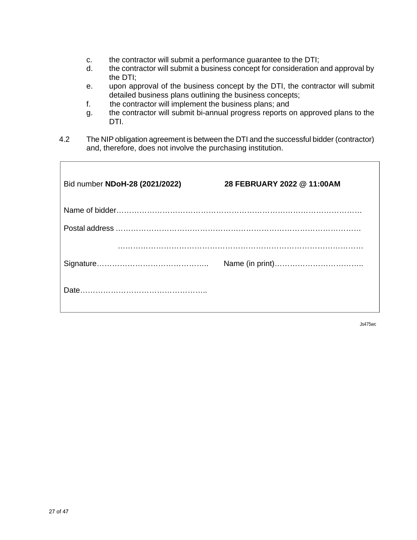- c. the contractor will submit a performance guarantee to the DTI;
- d. the contractor will submit a business concept for consideration and approval by the DTI;
- e. upon approval of the business concept by the DTI, the contractor will submit detailed business plans outlining the business concepts;
- f. the contractor will implement the business plans; and
- g. the contractor will submit bi-annual progress reports on approved plans to the DTI.
- 4.2 The NIP obligation agreement is between the DTI and the successful bidder (contractor) and, therefore, does not involve the purchasing institution.

| Bid number NDoH-28 (2021/2022) | 28 FEBRUARY 2022 @ 11:00AM |
|--------------------------------|----------------------------|
|                                |                            |
|                                |                            |
|                                |                            |
|                                |                            |
|                                |                            |

Js475wc

Г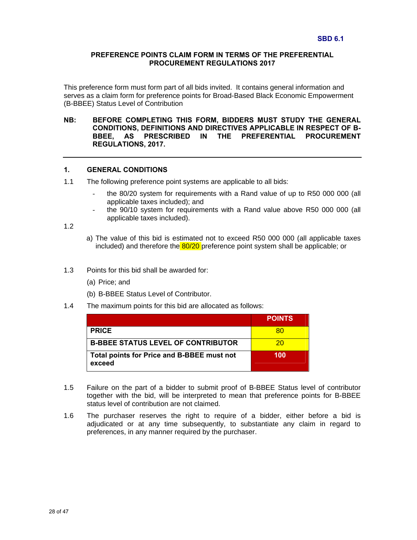#### **PREFERENCE POINTS CLAIM FORM IN TERMS OF THE PREFERENTIAL PROCUREMENT REGULATIONS 2017**

This preference form must form part of all bids invited. It contains general information and serves as a claim form for preference points for Broad-Based Black Economic Empowerment (B-BBEE) Status Level of Contribution

#### **NB: BEFORE COMPLETING THIS FORM, BIDDERS MUST STUDY THE GENERAL CONDITIONS, DEFINITIONS AND DIRECTIVES APPLICABLE IN RESPECT OF B-BBEE, AS PRESCRIBED IN THE PREFERENTIAL PROCUREMENT REGULATIONS, 2017.**

#### **1. GENERAL CONDITIONS**

- 1.1 The following preference point systems are applicable to all bids:
	- the 80/20 system for requirements with a Rand value of up to R50 000 000 (all applicable taxes included); and
	- the 90/10 system for requirements with a Rand value above R50 000 000 (all applicable taxes included).

1.2

- a) The value of this bid is estimated not to exceed R50 000 000 (all applicable taxes included) and therefore the 80/20 preference point system shall be applicable; or
- 1.3 Points for this bid shall be awarded for:
	- (a) Price; and
	- (b) B-BBEE Status Level of Contributor.
- 1.4 The maximum points for this bid are allocated as follows:

|                                                      | <b>POINTS</b> |
|------------------------------------------------------|---------------|
| <b>PRICE</b>                                         | 80            |
| <b>B-BBEE STATUS LEVEL OF CONTRIBUTOR</b>            | 20            |
| Total points for Price and B-BBEE must not<br>exceed | 100           |

- 1.5 Failure on the part of a bidder to submit proof of B-BBEE Status level of contributor together with the bid, will be interpreted to mean that preference points for B-BBEE status level of contribution are not claimed.
- 1.6 The purchaser reserves the right to require of a bidder, either before a bid is adjudicated or at any time subsequently, to substantiate any claim in regard to preferences, in any manner required by the purchaser.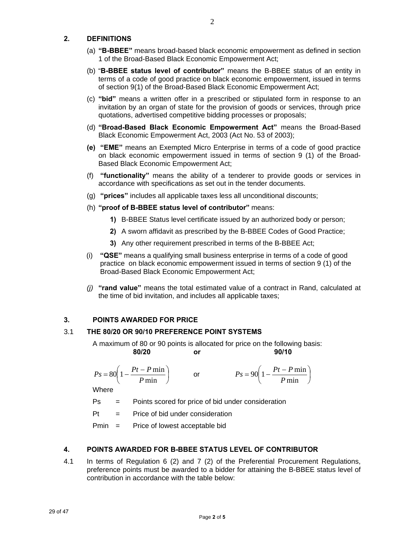#### **2. DEFINITIONS**

- (a) **"B-BBEE"** means broad-based black economic empowerment as defined in section 1 of the Broad-Based Black Economic Empowerment Act;
- (b) "**B-BBEE status level of contributor"** means the B-BBEE status of an entity in terms of a code of good practice on black economic empowerment, issued in terms of section 9(1) of the Broad-Based Black Economic Empowerment Act;
- (c) **"bid"** means a written offer in a prescribed or stipulated form in response to an invitation by an organ of state for the provision of goods or services, through price quotations, advertised competitive bidding processes or proposals;
- (d) **"Broad-Based Black Economic Empowerment Act"** means the Broad-Based Black Economic Empowerment Act, 2003 (Act No. 53 of 2003);
- **(e) "EME"** means an Exempted Micro Enterprise in terms of a code of good practice on black economic empowerment issued in terms of section 9 (1) of the Broad-Based Black Economic Empowerment Act;
- (f) **"functionality"** means the ability of a tenderer to provide goods or services in accordance with specifications as set out in the tender documents.
- (g) **"prices"** includes all applicable taxes less all unconditional discounts;
- (h) **"proof of B-BBEE status level of contributor"** means:
	- **1)** B-BBEE Status level certificate issued by an authorized body or person;
	- **2)** A sworn affidavit as prescribed by the B-BBEE Codes of Good Practice;
	- **3)** Any other requirement prescribed in terms of the B-BBEE Act;
- (i) **"QSE"** means a qualifying small business enterprise in terms of a code of good practice on black economic empowerment issued in terms of section 9 (1) of the Broad-Based Black Economic Empowerment Act;
- *(j)* **"rand value"** means the total estimated value of a contract in Rand, calculated at the time of bid invitation, and includes all applicable taxes;

#### **3. POINTS AWARDED FOR PRICE**

#### 3.1 **THE 80/20 OR 90/10 PREFERENCE POINT SYSTEMS**

A maximum of 80 or 90 points is allocated for price on the following basis:  **80/20 or 90/10** 

$$
Ps = 80\left(1 - \frac{Pt - P\min P}{\min}\right) \qquad \text{or} \qquad \qquad Ps = 90\left(1 - \frac{Pt - P\min P}{\min}\right)
$$

$$
Ps = 90 \left( 1 - \frac{Pt - P \min}{P \min} \right)
$$

**Where** 

Ps = Points scored for price of bid under consideration

 $Pt =$  Price of bid under consideration

Pmin = Price of lowest acceptable bid

#### **4. POINTS AWARDED FOR B-BBEE STATUS LEVEL OF CONTRIBUTOR**

4.1 In terms of Regulation 6 (2) and 7 (2) of the Preferential Procurement Regulations, preference points must be awarded to a bidder for attaining the B-BBEE status level of contribution in accordance with the table below: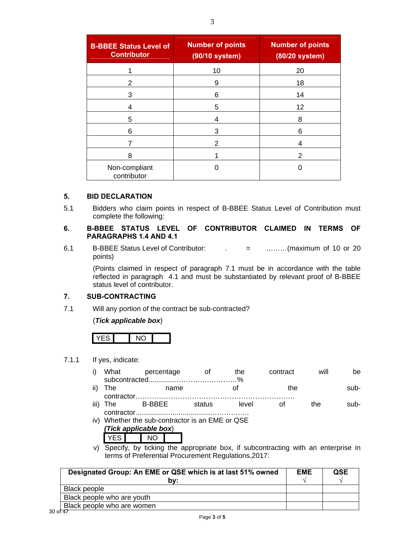| <b>B-BBEE Status Level of</b><br><b>Contributor</b> | <b>Number of points</b><br>(90/10 system) | <b>Number of points</b><br>(80/20 system) |
|-----------------------------------------------------|-------------------------------------------|-------------------------------------------|
|                                                     | 10                                        | 20                                        |
| 2                                                   | 9                                         | 18                                        |
| 3                                                   | 6                                         | 14                                        |
| 4                                                   | 5                                         | 12                                        |
| 5                                                   |                                           | 8                                         |
| 6                                                   | 3                                         | 6                                         |
|                                                     | 2                                         | 4                                         |
| 8                                                   |                                           | 2                                         |
| Non-compliant<br>contributor                        |                                           |                                           |

#### **5. BID DECLARATION**

5.1 Bidders who claim points in respect of B-BBEE Status Level of Contribution must complete the following:

#### **6. B-BBEE STATUS LEVEL OF CONTRIBUTOR CLAIMED IN TERMS OF PARAGRAPHS 1.4 AND 4.1**

6.1 B-BBEE Status Level of Contributor: . = ………(maximum of 10 or 20 points)

(Points claimed in respect of paragraph 7.1 must be in accordance with the table reflected in paragraph 4.1 and must be substantiated by relevant proof of B-BBEE status level of contributor.

#### **7. SUB-CONTRACTING**

7.1 Will any portion of the contract be sub-contracted?

#### (*Tick applicable box*)

#### 7.1.1 If yes, indicate:

| -11 \ |      | $    -$    |     | $\mathbf{L}$ $\mathbf{L}$ |      | ---- |
|-------|------|------------|-----|---------------------------|------|------|
|       |      |            |     |                           |      |      |
|       | What | percentage | the | contract                  | will | pе   |

ii) The name of the subcontractor………………………………………………………….. iii) The B-BBEE status level of the sub-

- contractor......................................…………….. iv) Whether the sub-contractor is an EME or QSE
	- *(Tick applicable box*)
	- YES NO
- v) Specify, by ticking the appropriate box, if subcontracting with an enterprise in terms of Preferential Procurement Regulations,2017:

| Designated Group: An EME or QSE which is at last 51% owned | <b>EME</b> | QSE |
|------------------------------------------------------------|------------|-----|
| b۷:                                                        |            |     |
| Black people                                               |            |     |
| Black people who are youth                                 |            |     |
| Black people who are women                                 |            |     |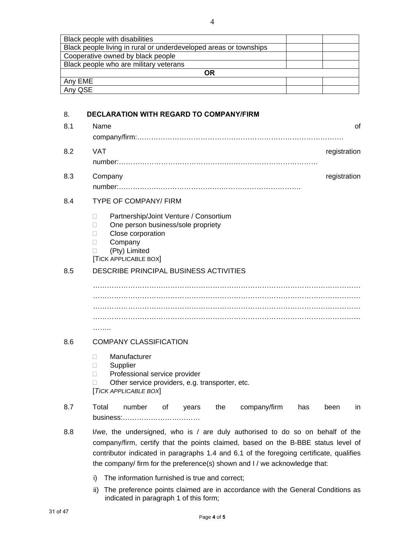| Black people with disabilities                                    |  |  |
|-------------------------------------------------------------------|--|--|
| Black people living in rural or underdeveloped areas or townships |  |  |
| Cooperative owned by black people                                 |  |  |
| Black people who are military veterans                            |  |  |
| <b>OR</b>                                                         |  |  |
| Any EME                                                           |  |  |
| Any QSE                                                           |  |  |

#### 8. **DECLARATION WITH REGARD TO COMPANY/FIRM**

| 8.1 | Name<br>οf                                                                                                                                                                                                                                                                                                                                  |
|-----|---------------------------------------------------------------------------------------------------------------------------------------------------------------------------------------------------------------------------------------------------------------------------------------------------------------------------------------------|
| 8.2 | VAT<br>registration                                                                                                                                                                                                                                                                                                                         |
| 8.3 | Company<br>registration                                                                                                                                                                                                                                                                                                                     |
| 8.4 | <b>TYPE OF COMPANY/ FIRM</b>                                                                                                                                                                                                                                                                                                                |
|     | Partnership/Joint Venture / Consortium<br>$\Box$<br>One person business/sole propriety<br>П<br>Close corporation<br>П<br>Company<br>П<br>(Pty) Limited<br>П<br>[TICK APPLICABLE BOX]                                                                                                                                                        |
| 8.5 | DESCRIBE PRINCIPAL BUSINESS ACTIVITIES                                                                                                                                                                                                                                                                                                      |
|     | .                                                                                                                                                                                                                                                                                                                                           |
| 8.6 | <b>COMPANY CLASSIFICATION</b>                                                                                                                                                                                                                                                                                                               |
|     | Manufacturer<br>$\Box$<br>Supplier<br>□<br>Professional service provider<br>П<br>Other service providers, e.g. transporter, etc.<br>[TICK APPLICABLE BOX]                                                                                                                                                                                   |
| 8.7 | Total<br>number<br>company/firm<br>οf<br>the<br>has<br>years<br>been<br>in.                                                                                                                                                                                                                                                                 |
| 8.8 | I/we, the undersigned, who is / are duly authorised to do so on behalf of the<br>company/firm, certify that the points claimed, based on the B-BBE status level of<br>contributor indicated in paragraphs 1.4 and 6.1 of the foregoing certificate, qualifies<br>the company/ firm for the preference(s) shown and I / we acknowledge that: |

- i) The information furnished is true and correct;
- ii) The preference points claimed are in accordance with the General Conditions as indicated in paragraph 1 of this form;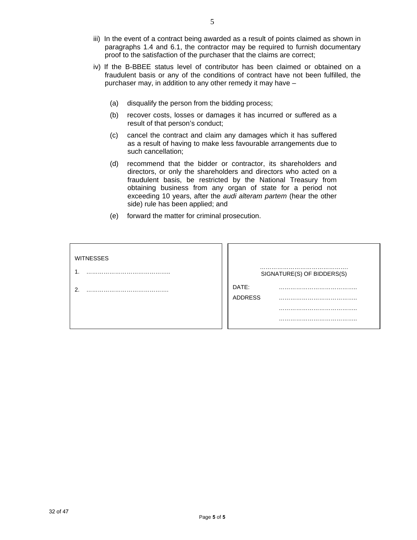- iii) In the event of a contract being awarded as a result of points claimed as shown in paragraphs 1.4 and 6.1, the contractor may be required to furnish documentary proof to the satisfaction of the purchaser that the claims are correct;
- iv) If the B-BBEE status level of contributor has been claimed or obtained on a fraudulent basis or any of the conditions of contract have not been fulfilled, the purchaser may, in addition to any other remedy it may have –
	- (a) disqualify the person from the bidding process;
	- (b) recover costs, losses or damages it has incurred or suffered as a result of that person's conduct;
	- (c) cancel the contract and claim any damages which it has suffered as a result of having to make less favourable arrangements due to such cancellation;
	- (d) recommend that the bidder or contractor, its shareholders and directors, or only the shareholders and directors who acted on a fraudulent basis, be restricted by the National Treasury from obtaining business from any organ of state for a period not exceeding 10 years, after the *audi alteram partem* (hear the other side) rule has been applied; and
	- (e) forward the matter for criminal prosecution.

| <b>WITNESSES</b> |                            |
|------------------|----------------------------|
|                  | SIGNATURE(S) OF BIDDERS(S) |
| ◠                | DATE:<br><b>ADDRESS</b>    |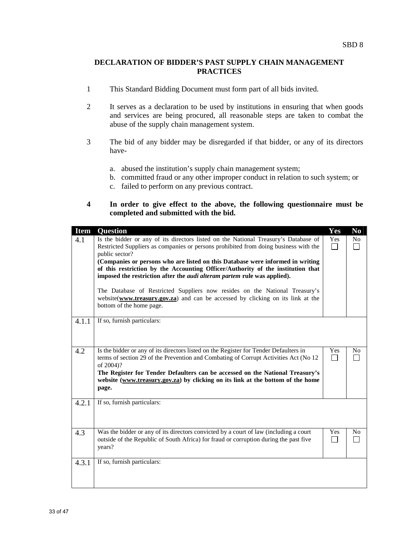#### **DECLARATION OF BIDDER'S PAST SUPPLY CHAIN MANAGEMENT PRACTICES**

- 1 This Standard Bidding Document must form part of all bids invited.
- 2 It serves as a declaration to be used by institutions in ensuring that when goods and services are being procured, all reasonable steps are taken to combat the abuse of the supply chain management system.
- 3 The bid of any bidder may be disregarded if that bidder, or any of its directors have
	- a. abused the institution's supply chain management system;
	- b. committed fraud or any other improper conduct in relation to such system; or
	- c. failed to perform on any previous contract.

#### **4 In order to give effect to the above, the following questionnaire must be completed and submitted with the bid.**

| <b>Item</b> | <b>Question</b>                                                                                                                                                                                                                                                                                                                                                          | Yes       | N <sub>0</sub> |
|-------------|--------------------------------------------------------------------------------------------------------------------------------------------------------------------------------------------------------------------------------------------------------------------------------------------------------------------------------------------------------------------------|-----------|----------------|
| 4.1         | Is the bidder or any of its directors listed on the National Treasury's Database of<br>Restricted Suppliers as companies or persons prohibited from doing business with the<br>public sector?<br>(Companies or persons who are listed on this Database were informed in writing<br>of this restriction by the Accounting Officer/Authority of the institution that       | Yes<br>I. | No<br>l.       |
|             | imposed the restriction after the <i>audi alteram partem</i> rule was applied).<br>The Database of Restricted Suppliers now resides on the National Treasury's<br>website(www.treasury.gov.za) and can be accessed by clicking on its link at the<br>bottom of the home page.                                                                                            |           |                |
| 4.1.1       | If so, furnish particulars:                                                                                                                                                                                                                                                                                                                                              |           |                |
| 4.2         | Is the bidder or any of its directors listed on the Register for Tender Defaulters in<br>terms of section 29 of the Prevention and Combating of Corrupt Activities Act (No 12)<br>of 2004)?<br>The Register for Tender Defaulters can be accessed on the National Treasury's<br>website (www.treasury.gov.za) by clicking on its link at the bottom of the home<br>page. | Yes<br>I. | N <sub>0</sub> |
| 4.2.1       | If so, furnish particulars:                                                                                                                                                                                                                                                                                                                                              |           |                |
| 4.3         | Was the bidder or any of its directors convicted by a court of law (including a court<br>outside of the Republic of South Africa) for fraud or corruption during the past five<br>years?                                                                                                                                                                                 | Yes       | N <sub>0</sub> |
| 4.3.1       | If so, furnish particulars:                                                                                                                                                                                                                                                                                                                                              |           |                |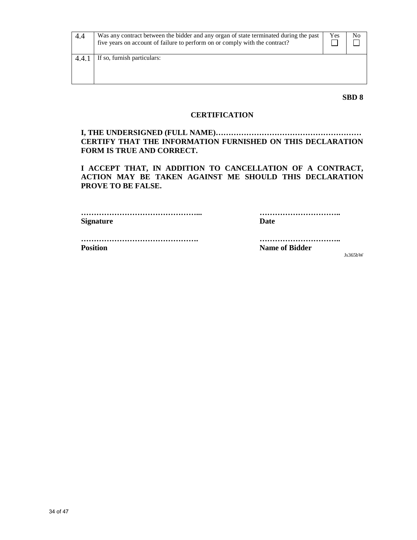| 4.4  | Was any contract between the bidder and any organ of state terminated during the past<br>five years on account of failure to perform on or comply with the contract? | Yes | No |
|------|----------------------------------------------------------------------------------------------------------------------------------------------------------------------|-----|----|
| 4.4. | If so, furnish particulars:                                                                                                                                          |     |    |
|      |                                                                                                                                                                      |     |    |
|      |                                                                                                                                                                      |     |    |

**SBD 8** 

#### **CERTIFICATION**

**I, THE UNDERSIGNED (FULL NAME)………………………………………………… CERTIFY THAT THE INFORMATION FURNISHED ON THIS DECLARATION FORM IS TRUE AND CORRECT.** 

 **I ACCEPT THAT, IN ADDITION TO CANCELLATION OF A CONTRACT, ACTION MAY BE TAKEN AGAINST ME SHOULD THIS DECLARATION PROVE TO BE FALSE.** 

| <b>Signature</b> | Date |
|------------------|------|
|                  |      |

 **………………………………………. ………………………….. Position Name of Bidder** 

Js365bW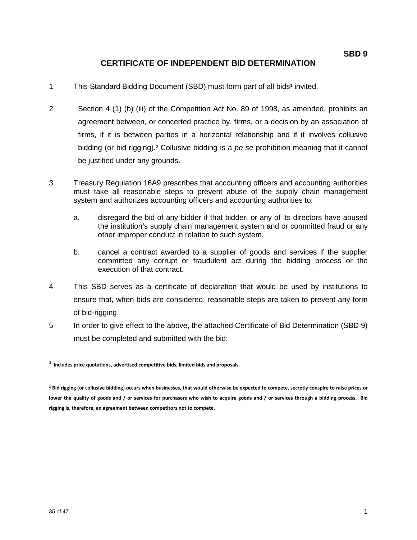# **CERTIFICATE OF INDEPENDENT BID DETERMINATION**

- 1 This Standard Bidding Document (SBD) must form part of all bids<sup>1</sup> invited.
- 2 Section 4 (1) (b) (iii) of the Competition Act No. 89 of 1998, as amended, prohibits an agreement between, or concerted practice by, firms, or a decision by an association of firms, if it is between parties in a horizontal relationship and if it involves collusive bidding (or bid rigging).<sup>2</sup> Collusive bidding is a pe se prohibition meaning that it cannot be justified under any grounds.
- 3 Treasury Regulation 16A9 prescribes that accounting officers and accounting authorities must take all reasonable steps to prevent abuse of the supply chain management system and authorizes accounting officers and accounting authorities to:
	- a. disregard the bid of any bidder if that bidder, or any of its directors have abused the institution's supply chain management system and or committed fraud or any other improper conduct in relation to such system.
	- b. cancel a contract awarded to a supplier of goods and services if the supplier committed any corrupt or fraudulent act during the bidding process or the execution of that contract.
- 4 This SBD serves as a certificate of declaration that would be used by institutions to ensure that, when bids are considered, reasonable steps are taken to prevent any form of bid-rigging.
- 5 In order to give effect to the above, the attached Certificate of Bid Determination (SBD 9) must be completed and submitted with the bid:

**¹** Includes price quotations, advertised competitive bids, limited bids and proposals.

<sup>&</sup>lt;sup>2</sup> Bid rigging (or collusive bidding) occurs when businesses, that would otherwise be expected to compete, secretly conspire to raise prices or lower the quality of goods and / or services for purchasers who wish to acquire goods and / or services through a bidding process. Bid rigging is, therefore, an agreement between competitors not to compete.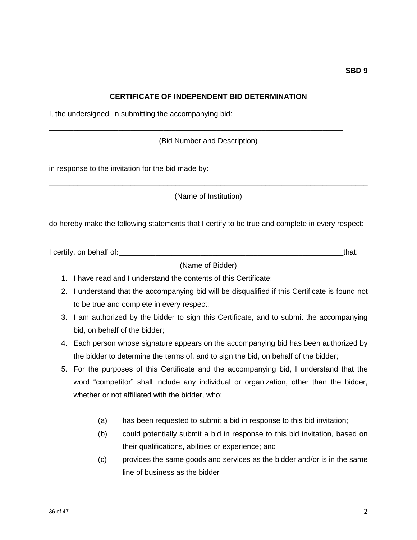#### **CERTIFICATE OF INDEPENDENT BID DETERMINATION**

I, the undersigned, in submitting the accompanying bid:

(Bid Number and Description)

\_\_\_\_\_\_\_\_\_\_\_\_\_\_\_\_\_\_\_\_\_\_\_\_\_\_\_\_\_\_\_\_\_\_\_\_\_\_\_\_\_\_\_\_\_\_\_\_\_\_\_\_\_\_\_\_\_\_\_\_\_\_\_\_\_\_\_\_\_\_\_\_

in response to the invitation for the bid made by:

(Name of Institution)

\_\_\_\_\_\_\_\_\_\_\_\_\_\_\_\_\_\_\_\_\_\_\_\_\_\_\_\_\_\_\_\_\_\_\_\_\_\_\_\_\_\_\_\_\_\_\_\_\_\_\_\_\_\_\_\_\_\_\_\_\_\_\_\_\_\_\_\_\_\_\_\_\_\_\_\_\_\_

do hereby make the following statements that I certify to be true and complete in every respect:

I certify, on behalf of:\_\_\_\_\_\_\_\_\_\_\_\_\_\_\_\_\_\_\_\_\_\_\_\_\_\_\_\_\_\_\_\_\_\_\_\_\_\_\_\_\_\_\_\_\_\_\_\_\_\_\_\_\_\_\_that:

(Name of Bidder)

- 1. I have read and I understand the contents of this Certificate;
- 2. I understand that the accompanying bid will be disqualified if this Certificate is found not to be true and complete in every respect;
- 3. I am authorized by the bidder to sign this Certificate, and to submit the accompanying bid, on behalf of the bidder;
- 4. Each person whose signature appears on the accompanying bid has been authorized by the bidder to determine the terms of, and to sign the bid, on behalf of the bidder;
- 5. For the purposes of this Certificate and the accompanying bid, I understand that the word "competitor" shall include any individual or organization, other than the bidder, whether or not affiliated with the bidder, who:
	- (a) has been requested to submit a bid in response to this bid invitation;
	- (b) could potentially submit a bid in response to this bid invitation, based on their qualifications, abilities or experience; and
	- (c) provides the same goods and services as the bidder and/or is in the same line of business as the bidder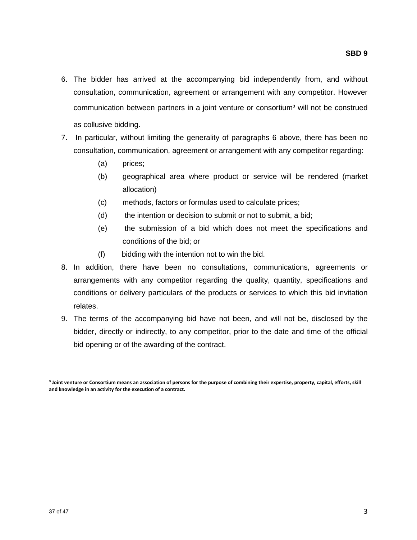- 6. The bidder has arrived at the accompanying bid independently from, and without consultation, communication, agreement or arrangement with any competitor. However communication between partners in a joint venture or consortium<sup>3</sup> will not be construed as collusive bidding.
- 7. In particular, without limiting the generality of paragraphs 6 above, there has been no consultation, communication, agreement or arrangement with any competitor regarding:
	- (a) prices;
	- (b) geographical area where product or service will be rendered (market allocation)
	- (c) methods, factors or formulas used to calculate prices;
	- (d) the intention or decision to submit or not to submit, a bid;
	- (e) the submission of a bid which does not meet the specifications and conditions of the bid; or
	- (f) bidding with the intention not to win the bid.
- 8. In addition, there have been no consultations, communications, agreements or arrangements with any competitor regarding the quality, quantity, specifications and conditions or delivery particulars of the products or services to which this bid invitation relates.
- 9. The terms of the accompanying bid have not been, and will not be, disclosed by the bidder, directly or indirectly, to any competitor, prior to the date and time of the official bid opening or of the awarding of the contract.

<sup>&</sup>lt;sup>3</sup> Joint venture or Consortium means an association of persons for the purpose of combining their expertise, property, capital, efforts, skill and knowledge in an activity for the execution of a contract.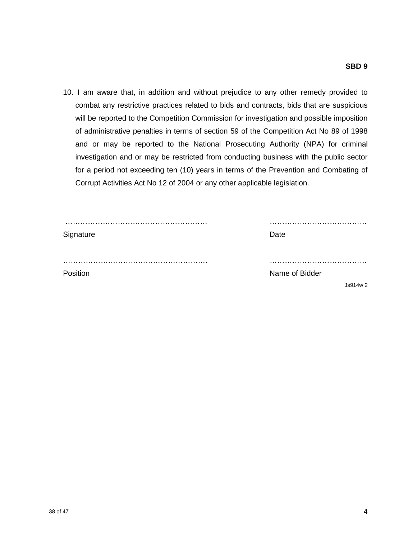10. I am aware that, in addition and without prejudice to any other remedy provided to combat any restrictive practices related to bids and contracts, bids that are suspicious will be reported to the Competition Commission for investigation and possible imposition of administrative penalties in terms of section 59 of the Competition Act No 89 of 1998 and or may be reported to the National Prosecuting Authority (NPA) for criminal investigation and or may be restricted from conducting business with the public sector for a period not exceeding ten (10) years in terms of the Prevention and Combating of Corrupt Activities Act No 12 of 2004 or any other applicable legislation.

| Signature | Date           |
|-----------|----------------|
|           |                |
| Position  | Name of Bidder |
|           | Js914w2        |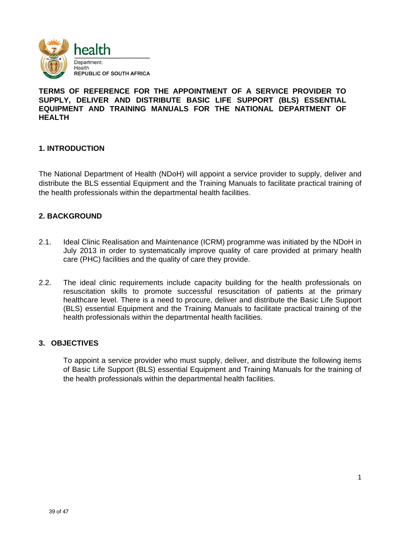

#### **TERMS OF REFERENCE FOR THE APPOINTMENT OF A SERVICE PROVIDER TO SUPPLY, DELIVER AND DISTRIBUTE BASIC LIFE SUPPORT (BLS) ESSENTIAL EQUIPMENT AND TRAINING MANUALS FOR THE NATIONAL DEPARTMENT OF HEALTH**

#### **1. INTRODUCTION**

The National Department of Health (NDoH) will appoint a service provider to supply, deliver and distribute the BLS essential Equipment and the Training Manuals to facilitate practical training of the health professionals within the departmental health facilities.

#### **2. BACKGROUND**

- 2.1. Ideal Clinic Realisation and Maintenance (ICRM) programme was initiated by the NDoH in July 2013 in order to systematically improve quality of care provided at primary health care (PHC) facilities and the quality of care they provide.
- 2.2. The ideal clinic requirements include capacity building for the health professionals on resuscitation skills to promote successful resuscitation of patients at the primary healthcare level. There is a need to procure, deliver and distribute the Basic Life Support (BLS) essential Equipment and the Training Manuals to facilitate practical training of the health professionals within the departmental health facilities.

#### **3. OBJECTIVES**

To appoint a service provider who must supply, deliver, and distribute the following items of Basic Life Support (BLS) essential Equipment and Training Manuals for the training of the health professionals within the departmental health facilities.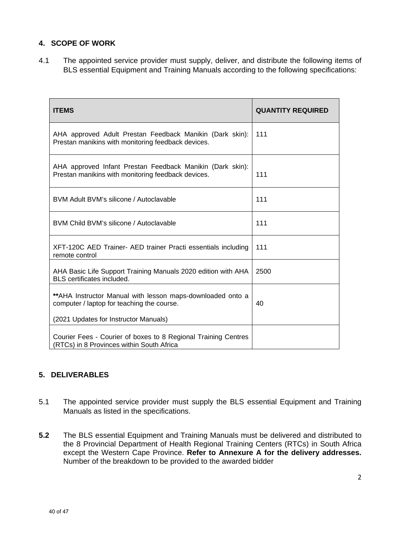### **4. SCOPE OF WORK**

4.1 The appointed service provider must supply, deliver, and distribute the following items of BLS essential Equipment and Training Manuals according to the following specifications:

| <b>ITEMS</b>                                                                                                                                       | <b>QUANTITY REQUIRED</b> |
|----------------------------------------------------------------------------------------------------------------------------------------------------|--------------------------|
| AHA approved Adult Prestan Feedback Manikin (Dark skin):<br>Prestan manikins with monitoring feedback devices.                                     | 111                      |
| AHA approved Infant Prestan Feedback Manikin (Dark skin):<br>Prestan manikins with monitoring feedback devices.                                    | 111                      |
| BVM Adult BVM's silicone / Autoclavable                                                                                                            | 111                      |
| BVM Child BVM's silicone / Autoclavable                                                                                                            | 111                      |
| XFT-120C AED Trainer- AED trainer Practi essentials including<br>remote control                                                                    | 111                      |
| AHA Basic Life Support Training Manuals 2020 edition with AHA<br><b>BLS</b> certificates included.                                                 | 2500                     |
| ** AHA Instructor Manual with lesson maps-downloaded onto a<br>computer / laptop for teaching the course.<br>(2021 Updates for Instructor Manuals) | 40                       |
| Courier Fees - Courier of boxes to 8 Regional Training Centres<br>(RTCs) in 8 Provinces within South Africa                                        |                          |

# **5. DELIVERABLES**

- 5.1 The appointed service provider must supply the BLS essential Equipment and Training Manuals as listed in the specifications.
- **5.2** The BLS essential Equipment and Training Manuals must be delivered and distributed to the 8 Provincial Department of Health Regional Training Centers (RTCs) in South Africa except the Western Cape Province. **Refer to Annexure A for the delivery addresses.**  Number of the breakdown to be provided to the awarded bidder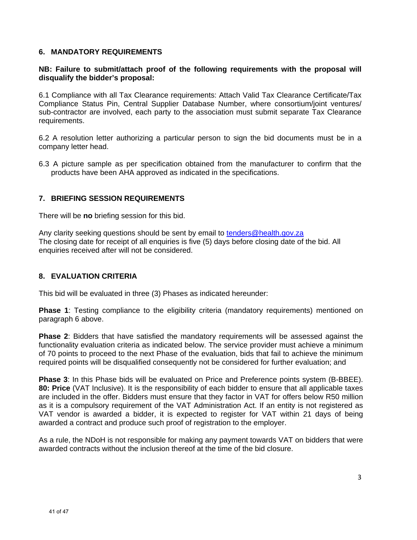#### **6. MANDATORY REQUIREMENTS**

#### **NB: Failure to submit/attach proof of the following requirements with the proposal will disqualify the bidder's proposal:**

6.1 Compliance with all Tax Clearance requirements: Attach Valid Tax Clearance Certificate/Tax Compliance Status Pin, Central Supplier Database Number, where consortium/joint ventures/ sub-contractor are involved, each party to the association must submit separate Tax Clearance requirements.

6.2 A resolution letter authorizing a particular person to sign the bid documents must be in a company letter head.

6.3 A picture sample as per specification obtained from the manufacturer to confirm that the products have been AHA approved as indicated in the specifications.

#### **7. BRIEFING SESSION REQUIREMENTS**

There will be **no** briefing session for this bid.

Any clarity seeking questions should be sent by email to tenders@health.gov.za The closing date for receipt of all enquiries is five (5) days before closing date of the bid. All enquiries received after will not be considered.

#### **8. EVALUATION CRITERIA**

This bid will be evaluated in three (3) Phases as indicated hereunder:

**Phase 1**: Testing compliance to the eligibility criteria (mandatory requirements) mentioned on paragraph 6 above.

**Phase 2**: Bidders that have satisfied the mandatory requirements will be assessed against the functionality evaluation criteria as indicated below. The service provider must achieve a minimum of 70 points to proceed to the next Phase of the evaluation, bids that fail to achieve the minimum required points will be disqualified consequently not be considered for further evaluation; and

**Phase 3**: In this Phase bids will be evaluated on Price and Preference points system (B-BBEE). **80: Price** (VAT Inclusive). It is the responsibility of each bidder to ensure that all applicable taxes are included in the offer. Bidders must ensure that they factor in VAT for offers below R50 million as it is a compulsory requirement of the VAT Administration Act. If an entity is not registered as VAT vendor is awarded a bidder, it is expected to register for VAT within 21 days of being awarded a contract and produce such proof of registration to the employer.

As a rule, the NDoH is not responsible for making any payment towards VAT on bidders that were awarded contracts without the inclusion thereof at the time of the bid closure.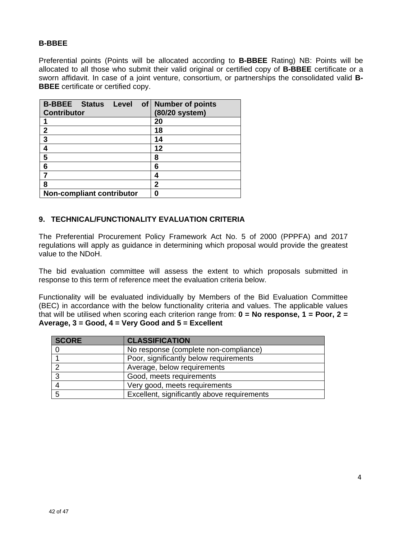#### **B-BBEE**

Preferential points (Points will be allocated according to **B-BBEE** Rating) NB: Points will be allocated to all those who submit their valid original or certified copy of **B-BBEE** certificate or a sworn affidavit. In case of a joint venture, consortium, or partnerships the consolidated valid **B-BBEE** certificate or certified copy.

| <b>B-BBEE Status Level</b>       | of   Number of points |
|----------------------------------|-----------------------|
| <b>Contributor</b>               | (80/20 system)        |
|                                  | 20                    |
| $\mathbf{2}$                     | 18                    |
| 3                                | 14                    |
| 4                                | 12                    |
| 5                                | 8                     |
| 6                                | 6                     |
|                                  | 4                     |
| 8                                | 2                     |
| <b>Non-compliant contributor</b> | n                     |

#### **9. TECHNICAL/FUNCTIONALITY EVALUATION CRITERIA**

The Preferential Procurement Policy Framework Act No. 5 of 2000 (PPPFA) and 2017 regulations will apply as guidance in determining which proposal would provide the greatest value to the NDoH.

The bid evaluation committee will assess the extent to which proposals submitted in response to this term of reference meet the evaluation criteria below.

Functionality will be evaluated individually by Members of the Bid Evaluation Committee (BEC) in accordance with the below functionality criteria and values. The applicable values that will be utilised when scoring each criterion range from: **0 = No response, 1 = Poor, 2 = Average, 3 = Good, 4 = Very Good and 5 = Excellent** 

| <b>SCORE</b> | <b>CLASSIFICATION</b>                       |
|--------------|---------------------------------------------|
|              | No response (complete non-compliance)       |
|              | Poor, significantly below requirements      |
|              | Average, below requirements                 |
| -3           | Good, meets requirements                    |
|              | Very good, meets requirements               |
| -5           | Excellent, significantly above requirements |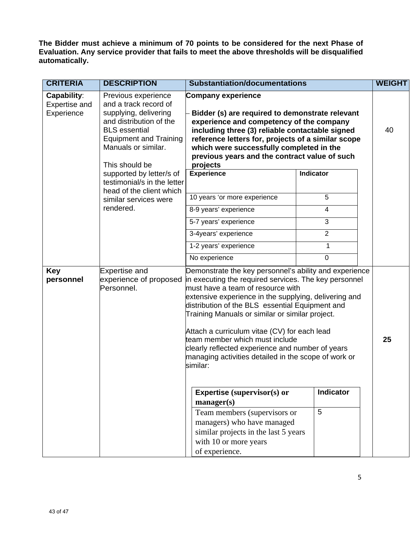**The Bidder must achieve a minimum of 70 points to be considered for the next Phase of Evaluation. Any service provider that fails to meet the above thresholds will be disqualified automatically.** 

| <b>CRITERIA</b>                            | <b>DESCRIPTION</b>                                                                                                                                                                                 | <b>Substantiation/documentations</b>                                                                                                                                                                                                                                                                                                                                                                                                                                                                                          |                         | <b>WEIGHT</b> |
|--------------------------------------------|----------------------------------------------------------------------------------------------------------------------------------------------------------------------------------------------------|-------------------------------------------------------------------------------------------------------------------------------------------------------------------------------------------------------------------------------------------------------------------------------------------------------------------------------------------------------------------------------------------------------------------------------------------------------------------------------------------------------------------------------|-------------------------|---------------|
| Capability:<br>Expertise and<br>Experience | Previous experience<br>and a track record of<br>supplying, delivering<br>and distribution of the<br><b>BLS</b> essential<br><b>Equipment and Training</b><br>Manuals or similar.<br>This should be | <b>Company experience</b><br>Bidder (s) are required to demonstrate relevant<br>experience and competency of the company<br>including three (3) reliable contactable signed<br>reference letters for, projects of a similar scope<br>which were successfully completed in the<br>previous years and the contract value of such<br>projects                                                                                                                                                                                    |                         | 40            |
|                                            | supported by letter/s of<br>testimonial/s in the letter<br>head of the client which                                                                                                                | <b>Experience</b><br>10 years 'or more experience                                                                                                                                                                                                                                                                                                                                                                                                                                                                             | Indicator<br>5          |               |
|                                            | similar services were<br>rendered.                                                                                                                                                                 |                                                                                                                                                                                                                                                                                                                                                                                                                                                                                                                               |                         |               |
|                                            |                                                                                                                                                                                                    | 8-9 years' experience                                                                                                                                                                                                                                                                                                                                                                                                                                                                                                         | $\overline{\mathbf{4}}$ |               |
|                                            |                                                                                                                                                                                                    | 5-7 years' experience                                                                                                                                                                                                                                                                                                                                                                                                                                                                                                         | 3                       |               |
|                                            |                                                                                                                                                                                                    | 3-4years' experience                                                                                                                                                                                                                                                                                                                                                                                                                                                                                                          | $\overline{2}$          |               |
|                                            |                                                                                                                                                                                                    | 1-2 years' experience                                                                                                                                                                                                                                                                                                                                                                                                                                                                                                         | 1                       |               |
|                                            |                                                                                                                                                                                                    | No experience                                                                                                                                                                                                                                                                                                                                                                                                                                                                                                                 | $\mathbf 0$             |               |
| <b>Key</b><br>personnel                    | <b>Expertise and</b><br>experience of proposed<br>Personnel.                                                                                                                                       | Demonstrate the key personnel's ability and experience<br>in executing the required services. The key personnel<br>must have a team of resource with<br>extensive experience in the supplying, delivering and<br>distribution of the BLS essential Equipment and<br>Training Manuals or similar or similar project.<br>Attach a curriculum vitae (CV) for each lead<br>team member which must include<br>clearly reflected experience and number of years<br>managing activities detailed in the scope of work or<br>similar: |                         | 25            |
|                                            |                                                                                                                                                                                                    | <b>Expertise (supervisor(s) or</b><br>$manager(s)$<br>Team members (supervisors or<br>managers) who have managed<br>similar projects in the last 5 years<br>with 10 or more years<br>of experience.                                                                                                                                                                                                                                                                                                                           | <b>Indicator</b><br>5   |               |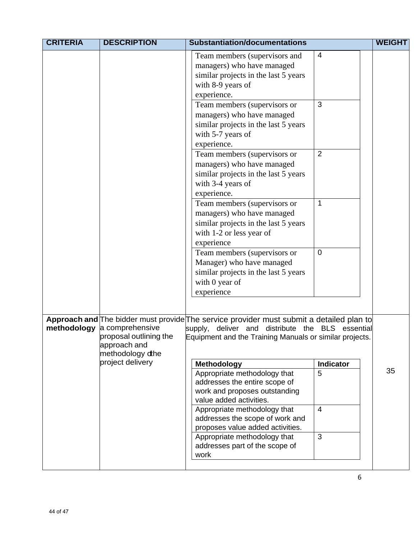| <b>CRITERIA</b> | <b>DESCRIPTION</b>                                                                                | <b>Substantiation/documentations</b>                                                                                                                                                                  |                                           | <b>WEIGHT</b> |
|-----------------|---------------------------------------------------------------------------------------------------|-------------------------------------------------------------------------------------------------------------------------------------------------------------------------------------------------------|-------------------------------------------|---------------|
|                 |                                                                                                   | Team members (supervisors and<br>managers) who have managed<br>similar projects in the last 5 years<br>with 8-9 years of<br>experience.<br>Team members (supervisors or<br>managers) who have managed | $\overline{4}$<br>3                       |               |
|                 |                                                                                                   | similar projects in the last 5 years<br>with 5-7 years of                                                                                                                                             |                                           |               |
|                 |                                                                                                   | experience.<br>Team members (supervisors or<br>managers) who have managed<br>similar projects in the last 5 years<br>with 3-4 years of<br>experience.                                                 | 2                                         |               |
|                 |                                                                                                   | Team members (supervisors or<br>managers) who have managed<br>similar projects in the last 5 years<br>with 1-2 or less year of<br>experience                                                          | 1                                         |               |
|                 |                                                                                                   | Team members (supervisors or<br>Manager) who have managed<br>similar projects in the last 5 years<br>with 0 year of<br>experience                                                                     | $\overline{0}$                            |               |
| methodology     | a comprehensive<br>proposal outlining the<br>approach and<br>methodology dthe<br>project delivery | Approach and The bidder must provide The service provider must submit a detailed plan to<br>supply,<br>deliver and<br>Equipment and the Training Manuals or similar projects.<br>Methodology          | distribute the BLS essential<br>Indicator |               |
|                 |                                                                                                   | Appropriate methodology that<br>addresses the entire scope of<br>work and proposes outstanding<br>value added activities.                                                                             | 5                                         | 35            |
|                 |                                                                                                   | Appropriate methodology that<br>addresses the scope of work and<br>proposes value added activities.                                                                                                   | $\overline{4}$                            |               |
|                 |                                                                                                   | Appropriate methodology that<br>addresses part of the scope of<br>work                                                                                                                                | 3                                         |               |
|                 |                                                                                                   |                                                                                                                                                                                                       |                                           |               |

6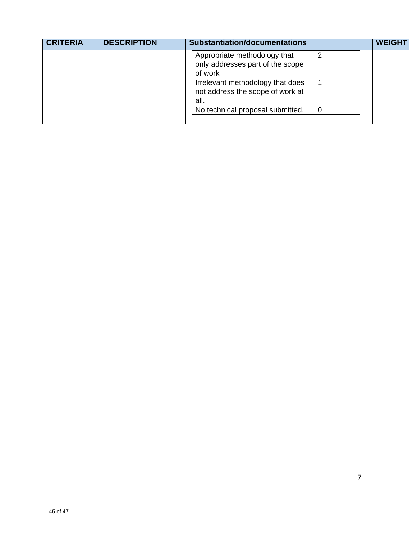|  | Appropriate methodology that<br>only addresses part of the scope<br>of work  |   |  |
|--|------------------------------------------------------------------------------|---|--|
|  |                                                                              |   |  |
|  | Irrelevant methodology that does<br>not address the scope of work at<br>all. |   |  |
|  | No technical proposal submitted.                                             | 0 |  |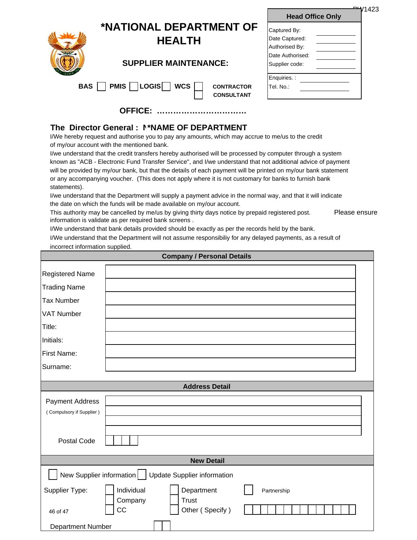|     |                                          |                                        | 1423ھ <del>-</del><br><b>Head Office Only</b>    |  |
|-----|------------------------------------------|----------------------------------------|--------------------------------------------------|--|
|     | *NATIONAL DEPARTMENT OF<br><b>HEALTH</b> |                                        | Captured By:<br>Date Captured:<br>Authorised By: |  |
|     | <b>SUPPLIER MAINTENANCE:</b>             |                                        | Date Authorised:<br>Supplier code:               |  |
| BAS | $\Box$ PMIS $\Box$ LOGIS $\Box$ WCS      | <b>CONTRACTOR</b><br><b>CONSULTANT</b> | Enquiries.:<br>Tel. No.:                         |  |
|     | <b>OFFICE:</b>                           |                                        |                                                  |  |

### **The Director General : N\*NAME OF DEPARTMENT**

I/We hereby request and authorise you to pay any amounts, which may accrue to me/us to the credit of my/our account with the mentioned bank.

I/we understand that the credit transfers hereby authorised will be processed by computer through a system known as "ACB - Electronic Fund Transfer Service", and I/we understand that not additional advice of payment will be provided by my/our bank, but that the details of each payment will be printed on my/our bank statement or any accompanying voucher. (This does not apply where it is not customary for banks to furnish bank statements).

I/we understand that the Department will supply a payment advice in the normal way, and that it will indicate the date on which the funds will be made available on my/our account.

This authority may be cancelled by me/us by giving thirty days notice by prepaid registered post. Please ensure information is validate as per required bank screens .

**Company / Personal Details** 

I/We understand that bank details provided should be exactly as per the records held by the bank.

I/We understand that the Department will not assume responsibiliy for any delayed payments, as a result of incorrect information supplied.

| Company / Personal Details                                     |               |                                 |             |  |  |  |  |
|----------------------------------------------------------------|---------------|---------------------------------|-------------|--|--|--|--|
| Registered Name                                                |               |                                 |             |  |  |  |  |
| <b>Trading Name</b>                                            |               |                                 |             |  |  |  |  |
| <b>Tax Number</b>                                              |               |                                 |             |  |  |  |  |
| <b>VAT Number</b>                                              |               |                                 |             |  |  |  |  |
| Title:                                                         |               |                                 |             |  |  |  |  |
| Initials:                                                      |               |                                 |             |  |  |  |  |
| First Name:                                                    |               |                                 |             |  |  |  |  |
| Surname:                                                       |               |                                 |             |  |  |  |  |
| <b>Address Detail</b>                                          |               |                                 |             |  |  |  |  |
|                                                                |               |                                 |             |  |  |  |  |
| Payment Address                                                |               |                                 |             |  |  |  |  |
| (Compulsory if Supplier)                                       |               |                                 |             |  |  |  |  |
|                                                                |               |                                 |             |  |  |  |  |
| Postal Code                                                    |               |                                 |             |  |  |  |  |
| <b>New Detail</b>                                              |               |                                 |             |  |  |  |  |
| New Supplier information<br><b>Update Supplier information</b> |               |                                 |             |  |  |  |  |
| Supplier Type:                                                 | Individual    | Department                      | Partnership |  |  |  |  |
| 46 of 47                                                       | Company<br>CC | <b>Trust</b><br>Other (Specify) |             |  |  |  |  |
|                                                                |               |                                 |             |  |  |  |  |
| Department Number                                              |               |                                 |             |  |  |  |  |